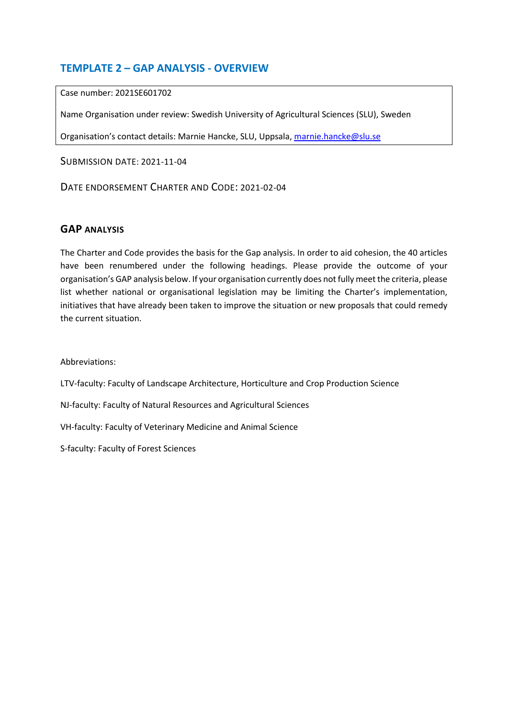## **TEMPLATE 2 – GAP ANALYSIS - OVERVIEW**

Case number: 2021SE601702

Name Organisation under review: Swedish University of Agricultural Sciences (SLU), Sweden

Organisation's contact details: Marnie Hancke, SLU, Uppsala, [marnie.hancke@slu.se](mailto:marnie.hancke@slu.se)

SUBMISSION DATE: 2021-11-04

DATE ENDORSEMENT CHARTER AND CODE: 2021-02-04

## **GAP ANALYSIS**

The Charter and Code provides the basis for the Gap analysis. In order to aid cohesion, the 40 articles have been renumbered under the following headings. Please provide the outcome of your organisation's GAP analysis below. If your organisation currently does not fully meet the criteria, please list whether national or organisational legislation may be limiting the Charter's implementation, initiatives that have already been taken to improve the situation or new proposals that could remedy the current situation.

Abbreviations:

LTV-faculty: Faculty of Landscape Architecture, Horticulture and Crop Production Science

NJ-faculty: Faculty of Natural Resources and Agricultural Sciences

VH-faculty: Faculty of Veterinary Medicine and Animal Science

S-faculty: Faculty of Forest Sciences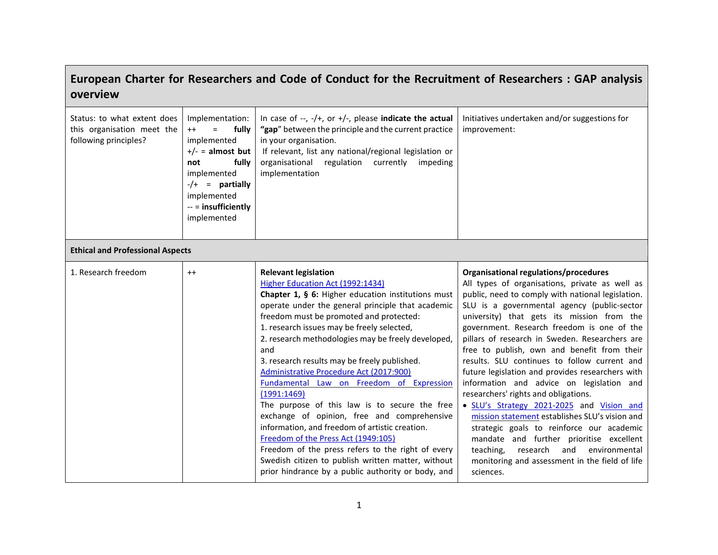## **European Charter for Researchers and Code of Conduct for the Recruitment of Researchers : GAP analysis overview**

| Status: to what extent does<br>this organisation meet the<br>following principles? | Implementation:<br>fully<br>$^{++}$<br>$\equiv$<br>implemented<br>$+/-$ = almost but<br>fully<br>not<br>implemented<br>$-/-$ = partially<br>implemented<br>$-$ = insufficiently<br>implemented | In case of $-$ , $-$ /+, or $+$ /-, please indicate the actual<br>"gap" between the principle and the current practice<br>in your organisation.<br>If relevant, list any national/regional legislation or<br>organisational regulation currently<br>impeding<br>implementation                                                                                                                                                                                                                                                                                                                                                                                                                                                                                                                                                                   | Initiatives undertaken and/or suggestions for<br>improvement:                                                                                                                                                                                                                                                                                                                                                                                                                                                                                                                                                                                                                                                                                                                                                                                                                             |
|------------------------------------------------------------------------------------|------------------------------------------------------------------------------------------------------------------------------------------------------------------------------------------------|--------------------------------------------------------------------------------------------------------------------------------------------------------------------------------------------------------------------------------------------------------------------------------------------------------------------------------------------------------------------------------------------------------------------------------------------------------------------------------------------------------------------------------------------------------------------------------------------------------------------------------------------------------------------------------------------------------------------------------------------------------------------------------------------------------------------------------------------------|-------------------------------------------------------------------------------------------------------------------------------------------------------------------------------------------------------------------------------------------------------------------------------------------------------------------------------------------------------------------------------------------------------------------------------------------------------------------------------------------------------------------------------------------------------------------------------------------------------------------------------------------------------------------------------------------------------------------------------------------------------------------------------------------------------------------------------------------------------------------------------------------|
| <b>Ethical and Professional Aspects</b>                                            |                                                                                                                                                                                                |                                                                                                                                                                                                                                                                                                                                                                                                                                                                                                                                                                                                                                                                                                                                                                                                                                                  |                                                                                                                                                                                                                                                                                                                                                                                                                                                                                                                                                                                                                                                                                                                                                                                                                                                                                           |
| 1. Research freedom                                                                | $^{++}$                                                                                                                                                                                        | <b>Relevant legislation</b><br>Higher Education Act (1992:1434)<br>Chapter 1, § 6: Higher education institutions must<br>operate under the general principle that academic<br>freedom must be promoted and protected:<br>1. research issues may be freely selected,<br>2. research methodologies may be freely developed,<br>and<br>3. research results may be freely published.<br>Administrative Procedure Act (2017:900)<br>Fundamental Law on Freedom of Expression<br>(1991:1469)<br>The purpose of this law is to secure the free<br>exchange of opinion, free and comprehensive<br>information, and freedom of artistic creation.<br>Freedom of the Press Act (1949:105)<br>Freedom of the press refers to the right of every<br>Swedish citizen to publish written matter, without<br>prior hindrance by a public authority or body, and | Organisational regulations/procedures<br>All types of organisations, private as well as<br>public, need to comply with national legislation.<br>SLU is a governmental agency (public-sector<br>university) that gets its mission from the<br>government. Research freedom is one of the<br>pillars of research in Sweden. Researchers are<br>free to publish, own and benefit from their<br>results. SLU continues to follow current and<br>future legislation and provides researchers with<br>information and advice on legislation and<br>researchers' rights and obligations.<br>· SLU's Strategy 2021-2025 and Vision and<br>mission statement establishes SLU's vision and<br>strategic goals to reinforce our academic<br>mandate and further prioritise excellent<br>teaching,<br>research<br>and<br>environmental<br>monitoring and assessment in the field of life<br>sciences. |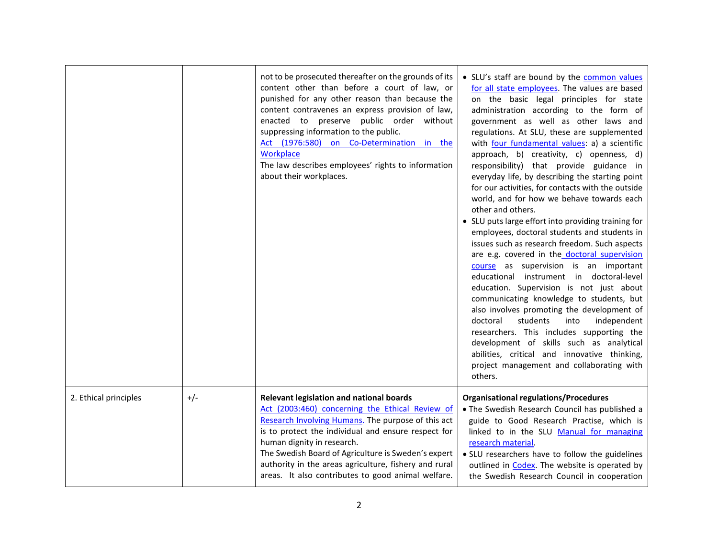|                       |       | not to be prosecuted thereafter on the grounds of its<br>content other than before a court of law, or<br>punished for any other reason than because the<br>content contravenes an express provision of law,<br>enacted to preserve public order without<br>suppressing information to the public.<br>Act (1976:580) on Co-Determination in the<br>Workplace<br>The law describes employees' rights to information<br>about their workplaces. | • SLU's staff are bound by the common values<br>for all state employees. The values are based<br>on the basic legal principles for state<br>administration according to the form of<br>government as well as other laws and<br>regulations. At SLU, these are supplemented<br>with four fundamental values: a) a scientific<br>approach, b) creativity, c) openness, d)<br>responsibility) that provide guidance in<br>everyday life, by describing the starting point<br>for our activities, for contacts with the outside<br>world, and for how we behave towards each<br>other and others.<br>• SLU puts large effort into providing training for<br>employees, doctoral students and students in<br>issues such as research freedom. Such aspects<br>are e.g. covered in the doctoral supervision<br>course as supervision is an important<br>educational instrument in doctoral-level<br>education. Supervision is not just about<br>communicating knowledge to students, but<br>also involves promoting the development of<br>students<br>independent<br>doctoral<br>into<br>researchers. This includes supporting the<br>development of skills such as analytical<br>abilities, critical and innovative thinking,<br>project management and collaborating with<br>others. |
|-----------------------|-------|----------------------------------------------------------------------------------------------------------------------------------------------------------------------------------------------------------------------------------------------------------------------------------------------------------------------------------------------------------------------------------------------------------------------------------------------|----------------------------------------------------------------------------------------------------------------------------------------------------------------------------------------------------------------------------------------------------------------------------------------------------------------------------------------------------------------------------------------------------------------------------------------------------------------------------------------------------------------------------------------------------------------------------------------------------------------------------------------------------------------------------------------------------------------------------------------------------------------------------------------------------------------------------------------------------------------------------------------------------------------------------------------------------------------------------------------------------------------------------------------------------------------------------------------------------------------------------------------------------------------------------------------------------------------------------------------------------------------------------------|
| 2. Ethical principles | $+/-$ | Relevant legislation and national boards<br>Act (2003:460) concerning the Ethical Review of<br>Research Involving Humans. The purpose of this act<br>is to protect the individual and ensure respect for<br>human dignity in research.<br>The Swedish Board of Agriculture is Sweden's expert<br>authority in the areas agriculture, fishery and rural<br>areas. It also contributes to good animal welfare.                                 | <b>Organisational regulations/Procedures</b><br>. The Swedish Research Council has published a<br>guide to Good Research Practise, which is<br>linked to in the SLU Manual for managing<br>research material.<br>• SLU researchers have to follow the guidelines<br>outlined in Codex. The website is operated by<br>the Swedish Research Council in cooperation                                                                                                                                                                                                                                                                                                                                                                                                                                                                                                                                                                                                                                                                                                                                                                                                                                                                                                                 |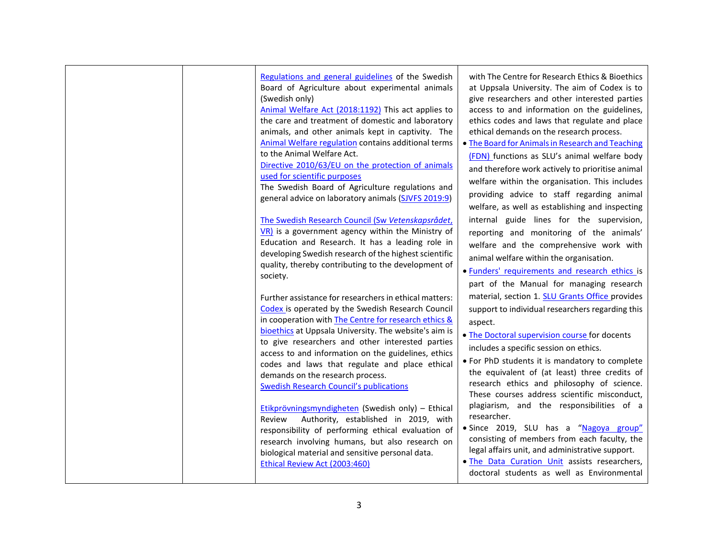| Regulations and general guidelines of the Swedish<br>Board of Agriculture about experimental animals<br>(Swedish only)<br>Animal Welfare Act (2018:1192) This act applies to<br>the care and treatment of domestic and laboratory<br>animals, and other animals kept in captivity. The<br>Animal Welfare regulation contains additional terms<br>to the Animal Welfare Act.<br>Directive 2010/63/EU on the protection of animals<br>used for scientific purposes<br>The Swedish Board of Agriculture regulations and<br>general advice on laboratory animals (SJVFS 2019:9)<br>The Swedish Research Council (Sw Vetenskapsrådet,<br>$V$ R) is a government agency within the Ministry of<br>Education and Research. It has a leading role in<br>developing Swedish research of the highest scientific<br>quality, thereby contributing to the development of<br>society. | with The Centre for Research Ethics & Bioethics<br>at Uppsala University. The aim of Codex is to<br>give researchers and other interested parties<br>access to and information on the guidelines,<br>ethics codes and laws that regulate and place<br>ethical demands on the research process.<br>• The Board for Animals in Research and Teaching<br>(FDN) functions as SLU's animal welfare body<br>and therefore work actively to prioritise animal<br>welfare within the organisation. This includes<br>providing advice to staff regarding animal<br>welfare, as well as establishing and inspecting<br>internal guide lines for the supervision,<br>reporting and monitoring of the animals'<br>welfare and the comprehensive work with<br>animal welfare within the organisation.<br>· Funders' requirements and research ethics is<br>part of the Manual for managing research |
|--------------------------------------------------------------------------------------------------------------------------------------------------------------------------------------------------------------------------------------------------------------------------------------------------------------------------------------------------------------------------------------------------------------------------------------------------------------------------------------------------------------------------------------------------------------------------------------------------------------------------------------------------------------------------------------------------------------------------------------------------------------------------------------------------------------------------------------------------------------------------|----------------------------------------------------------------------------------------------------------------------------------------------------------------------------------------------------------------------------------------------------------------------------------------------------------------------------------------------------------------------------------------------------------------------------------------------------------------------------------------------------------------------------------------------------------------------------------------------------------------------------------------------------------------------------------------------------------------------------------------------------------------------------------------------------------------------------------------------------------------------------------------|
| Further assistance for researchers in ethical matters:<br>Codex is operated by the Swedish Research Council<br>in cooperation with The Centre for research ethics &<br>bioethics at Uppsala University. The website's aim is<br>to give researchers and other interested parties<br>access to and information on the guidelines, ethics<br>codes and laws that regulate and place ethical<br>demands on the research process.<br><b>Swedish Research Council's publications</b><br>Etikprövningsmyndigheten (Swedish only) - Ethical<br>Authority, established in 2019, with<br>Review<br>responsibility of performing ethical evaluation of<br>research involving humans, but also research on<br>biological material and sensitive personal data.<br>Ethical Review Act (2003:460)                                                                                     | material, section 1. SLU Grants Office provides<br>support to individual researchers regarding this<br>aspect.<br>. The Doctoral supervision course for docents<br>includes a specific session on ethics.<br>. For PhD students it is mandatory to complete<br>the equivalent of (at least) three credits of<br>research ethics and philosophy of science.<br>These courses address scientific misconduct,<br>plagiarism, and the responsibilities of a<br>researcher.<br>· Since 2019, SLU has a "Nagoya group"<br>consisting of members from each faculty, the<br>legal affairs unit, and administrative support.<br>. The Data Curation Unit assists researchers,<br>doctoral students as well as Environmental                                                                                                                                                                     |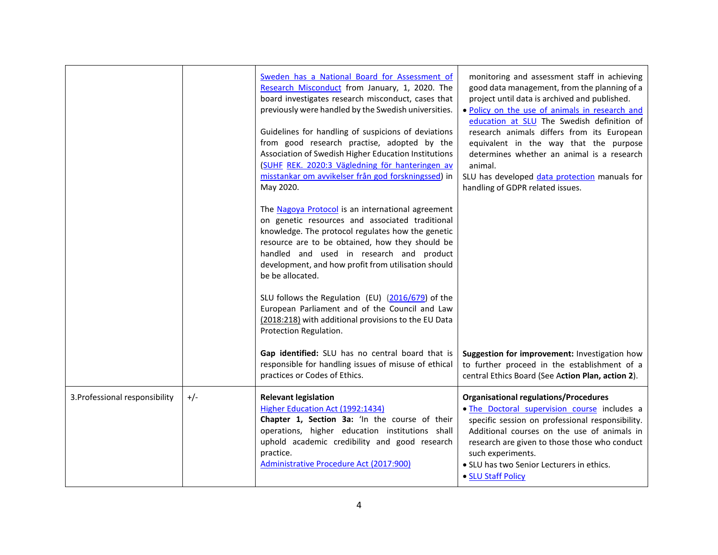|                                |       | Sweden has a National Board for Assessment of<br>Research Misconduct from January, 1, 2020. The<br>board investigates research misconduct, cases that<br>previously were handled by the Swedish universities.<br>Guidelines for handling of suspicions of deviations<br>from good research practise, adopted by the<br>Association of Swedish Higher Education Institutions<br>(SUHF REK. 2020:3 Vägledning för hanteringen av<br>misstankar om avvikelser från god forskningssed) in<br>May 2020. | monitoring and assessment staff in achieving<br>good data management, from the planning of a<br>project until data is archived and published.<br>. Policy on the use of animals in research and<br>education at SLU The Swedish definition of<br>research animals differs from its European<br>equivalent in the way that the purpose<br>determines whether an animal is a research<br>animal.<br>SLU has developed data protection manuals for<br>handling of GDPR related issues. |
|--------------------------------|-------|----------------------------------------------------------------------------------------------------------------------------------------------------------------------------------------------------------------------------------------------------------------------------------------------------------------------------------------------------------------------------------------------------------------------------------------------------------------------------------------------------|-------------------------------------------------------------------------------------------------------------------------------------------------------------------------------------------------------------------------------------------------------------------------------------------------------------------------------------------------------------------------------------------------------------------------------------------------------------------------------------|
|                                |       | The Nagoya Protocol is an international agreement<br>on genetic resources and associated traditional<br>knowledge. The protocol regulates how the genetic<br>resource are to be obtained, how they should be<br>handled and used in research and product<br>development, and how profit from utilisation should<br>be be allocated.                                                                                                                                                                |                                                                                                                                                                                                                                                                                                                                                                                                                                                                                     |
|                                |       | SLU follows the Regulation (EU) (2016/679) of the<br>European Parliament and of the Council and Law<br>(2018:218) with additional provisions to the EU Data<br>Protection Regulation.                                                                                                                                                                                                                                                                                                              |                                                                                                                                                                                                                                                                                                                                                                                                                                                                                     |
|                                |       | Gap identified: SLU has no central board that is<br>responsible for handling issues of misuse of ethical<br>practices or Codes of Ethics.                                                                                                                                                                                                                                                                                                                                                          | Suggestion for improvement: Investigation how<br>to further proceed in the establishment of a<br>central Ethics Board (See Action Plan, action 2).                                                                                                                                                                                                                                                                                                                                  |
| 3. Professional responsibility | $+/-$ | <b>Relevant legislation</b><br>Higher Education Act (1992:1434)<br>Chapter 1, Section 3a: 'In the course of their<br>operations, higher education institutions shall<br>uphold academic credibility and good research<br>practice.<br>Administrative Procedure Act (2017:900)                                                                                                                                                                                                                      | <b>Organisational regulations/Procedures</b><br>. The Doctoral supervision course includes a<br>specific session on professional responsibility.<br>Additional courses on the use of animals in<br>research are given to those those who conduct<br>such experiments.<br>• SLU has two Senior Lecturers in ethics.<br>• SLU Staff Policy                                                                                                                                            |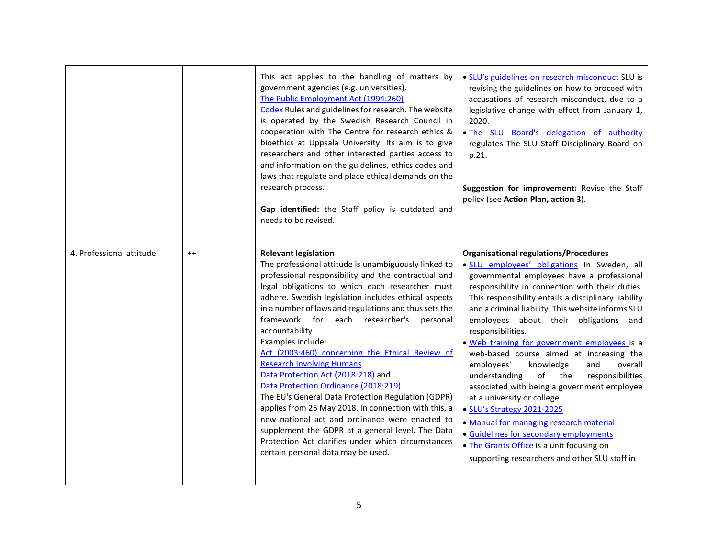|                          |         | This act applies to the handling of matters by<br>government agencies (e.g. universities).<br>The Public Employment Act (1994:260)<br>Codex Rules and guidelines for research. The website<br>is operated by the Swedish Research Council in<br>cooperation with The Centre for research ethics &<br>bioethics at Uppsala University. Its aim is to give<br>researchers and other interested parties access to<br>and information on the guidelines, ethics codes and<br>laws that regulate and place ethical demands on the<br>research process.<br>Gap identified: the Staff policy is outdated and<br>needs to be revised.                                                                                                                                                                                                                                                              | • SLU's guidelines on research misconduct SLU is<br>revising the guidelines on how to proceed with<br>accusations of research misconduct, due to a<br>legislative change with effect from January 1,<br>2020.<br>. The SLU Board's delegation of authority<br>regulates The SLU Staff Disciplinary Board on<br>p.21.<br>Suggestion for improvement: Revise the Staff<br>policy (see Action Plan, action 3).                                                                                                                                                                                                                                                                                                                                                                                                                                                        |
|--------------------------|---------|--------------------------------------------------------------------------------------------------------------------------------------------------------------------------------------------------------------------------------------------------------------------------------------------------------------------------------------------------------------------------------------------------------------------------------------------------------------------------------------------------------------------------------------------------------------------------------------------------------------------------------------------------------------------------------------------------------------------------------------------------------------------------------------------------------------------------------------------------------------------------------------------|--------------------------------------------------------------------------------------------------------------------------------------------------------------------------------------------------------------------------------------------------------------------------------------------------------------------------------------------------------------------------------------------------------------------------------------------------------------------------------------------------------------------------------------------------------------------------------------------------------------------------------------------------------------------------------------------------------------------------------------------------------------------------------------------------------------------------------------------------------------------|
| 4. Professional attitude | $^{++}$ | <b>Relevant legislation</b><br>The professional attitude is unambiguously linked to<br>professional responsibility and the contractual and<br>legal obligations to which each researcher must<br>adhere. Swedish legislation includes ethical aspects<br>in a number of laws and regulations and thus sets the<br>framework for each researcher's<br>personal<br>accountability.<br>Examples include:<br>Act (2003:460) concerning the Ethical Review of<br><b>Research Involving Humans</b><br>Data Protection Act (2018:218) and<br>Data Protection Ordinance (2018:219)<br>The EU's General Data Protection Regulation (GDPR)<br>applies from 25 May 2018. In connection with this, a<br>new national act and ordinance were enacted to<br>supplement the GDPR at a general level. The Data<br>Protection Act clarifies under which circumstances<br>certain personal data may be used. | <b>Organisational regulations/Procedures</b><br>· SLU employees' obligations In Sweden, all<br>governmental employees have a professional<br>responsibility in connection with their duties.<br>This responsibility entails a disciplinary liability<br>and a criminal liability. This website informs SLU<br>employees about their obligations and<br>responsibilities.<br>. Web training for government employees is a<br>web-based course aimed at increasing the<br>employees'<br>knowledge<br>and<br>overall<br>understanding<br>of<br>the<br>responsibilities<br>associated with being a government employee<br>at a university or college.<br>• SLU's Strategy 2021-2025<br>• Manual for managing research material<br>· Guidelines for secondary employments<br>• The Grants Office is a unit focusing on<br>supporting researchers and other SLU staff in |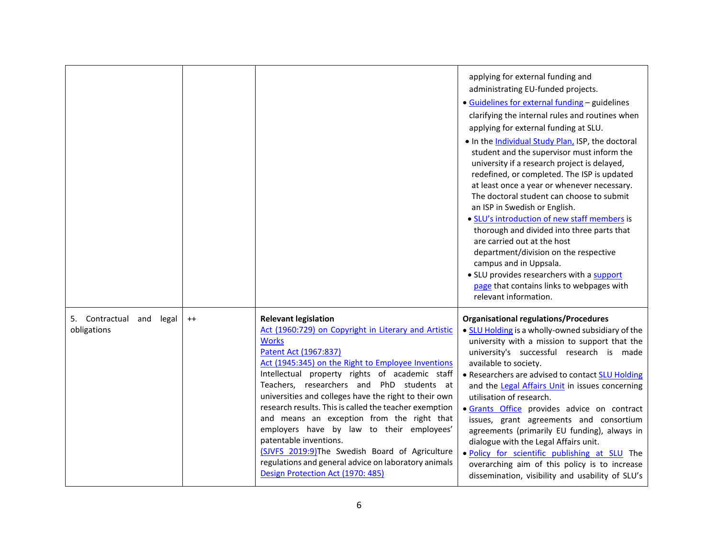|                                            |         |                                                                                                                                                                                                                                                                                                                                                                                                                                                                                                                                                                                                                                                                           | applying for external funding and<br>administrating EU-funded projects.<br>· Guidelines for external funding - guidelines<br>clarifying the internal rules and routines when<br>applying for external funding at SLU.<br>. In the Individual Study Plan, ISP, the doctoral<br>student and the supervisor must inform the<br>university if a research project is delayed,<br>redefined, or completed. The ISP is updated<br>at least once a year or whenever necessary.<br>The doctoral student can choose to submit<br>an ISP in Swedish or English.<br>· SLU's introduction of new staff members is<br>thorough and divided into three parts that<br>are carried out at the host<br>department/division on the respective<br>campus and in Uppsala.<br>· SLU provides researchers with a support<br>page that contains links to webpages with<br>relevant information. |
|--------------------------------------------|---------|---------------------------------------------------------------------------------------------------------------------------------------------------------------------------------------------------------------------------------------------------------------------------------------------------------------------------------------------------------------------------------------------------------------------------------------------------------------------------------------------------------------------------------------------------------------------------------------------------------------------------------------------------------------------------|-------------------------------------------------------------------------------------------------------------------------------------------------------------------------------------------------------------------------------------------------------------------------------------------------------------------------------------------------------------------------------------------------------------------------------------------------------------------------------------------------------------------------------------------------------------------------------------------------------------------------------------------------------------------------------------------------------------------------------------------------------------------------------------------------------------------------------------------------------------------------|
| 5. Contractual<br>and legal<br>obligations | $^{++}$ | <b>Relevant legislation</b><br>Act (1960:729) on Copyright in Literary and Artistic<br><b>Works</b><br>Patent Act (1967:837)<br>Act (1945:345) on the Right to Employee Inventions<br>Intellectual property rights of academic staff<br>Teachers, researchers and PhD students at<br>universities and colleges have the right to their own<br>research results. This is called the teacher exemption<br>and means an exception from the right that<br>employers have by law to their employees'<br>patentable inventions.<br>(SJVFS 2019:9) The Swedish Board of Agriculture<br>regulations and general advice on laboratory animals<br>Design Protection Act (1970: 485) | <b>Organisational regulations/Procedures</b><br>• SLU Holding is a wholly-owned subsidiary of the<br>university with a mission to support that the<br>university's successful research is made<br>available to society.<br>• Researchers are advised to contact SLU Holding<br>and the Legal Affairs Unit in issues concerning<br>utilisation of research.<br>· Grants Office provides advice on contract<br>issues, grant agreements and consortium<br>agreements (primarily EU funding), always in<br>dialogue with the Legal Affairs unit.<br>. Policy for scientific publishing at SLU The<br>overarching aim of this policy is to increase<br>dissemination, visibility and usability of SLU's                                                                                                                                                                     |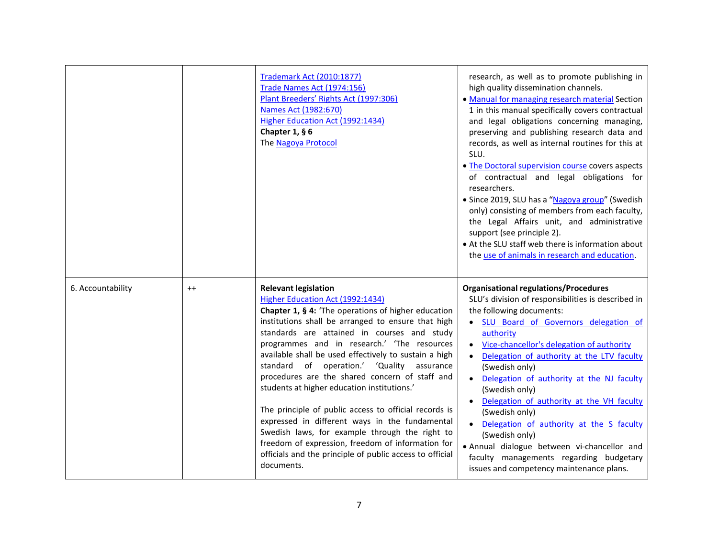|                   |         | <b>Trademark Act (2010:1877)</b><br><b>Trade Names Act (1974:156)</b><br>Plant Breeders' Rights Act (1997:306)<br>Names Act (1982:670)<br>Higher Education Act (1992:1434)<br>Chapter 1, $§$ 6<br><b>The Nagoya Protocol</b>                                                                                                                                                                                                                                                                                                                                                                                                                                                                                                                                                      | research, as well as to promote publishing in<br>high quality dissemination channels.<br>• Manual for managing research material Section<br>1 in this manual specifically covers contractual<br>and legal obligations concerning managing,<br>preserving and publishing research data and<br>records, as well as internal routines for this at<br>SLU.<br>. The Doctoral supervision course covers aspects<br>of contractual and legal obligations for<br>researchers.<br>· Since 2019, SLU has a "Nagoya group" (Swedish<br>only) consisting of members from each faculty,<br>the Legal Affairs unit, and administrative<br>support (see principle 2).<br>• At the SLU staff web there is information about<br>the use of animals in research and education. |
|-------------------|---------|-----------------------------------------------------------------------------------------------------------------------------------------------------------------------------------------------------------------------------------------------------------------------------------------------------------------------------------------------------------------------------------------------------------------------------------------------------------------------------------------------------------------------------------------------------------------------------------------------------------------------------------------------------------------------------------------------------------------------------------------------------------------------------------|---------------------------------------------------------------------------------------------------------------------------------------------------------------------------------------------------------------------------------------------------------------------------------------------------------------------------------------------------------------------------------------------------------------------------------------------------------------------------------------------------------------------------------------------------------------------------------------------------------------------------------------------------------------------------------------------------------------------------------------------------------------|
| 6. Accountability | $^{++}$ | <b>Relevant legislation</b><br>Higher Education Act (1992:1434)<br>Chapter 1, § 4: 'The operations of higher education<br>institutions shall be arranged to ensure that high<br>standards are attained in courses and study<br>programmes and in research.' 'The resources<br>available shall be used effectively to sustain a high<br>standard of operation.' 'Quality<br>assurance<br>procedures are the shared concern of staff and<br>students at higher education institutions.'<br>The principle of public access to official records is<br>expressed in different ways in the fundamental<br>Swedish laws, for example through the right to<br>freedom of expression, freedom of information for<br>officials and the principle of public access to official<br>documents. | <b>Organisational regulations/Procedures</b><br>SLU's division of responsibilities is described in<br>the following documents:<br>. SLU Board of Governors delegation of<br>authority<br>• Vice-chancellor's delegation of authority<br>Delegation of authority at the LTV faculty<br>(Swedish only)<br>Delegation of authority at the NJ faculty<br>(Swedish only)<br>Delegation of authority at the VH faculty<br>(Swedish only)<br>Delegation of authority at the S faculty<br>(Swedish only)<br>· Annual dialogue between vi-chancellor and<br>faculty managements regarding budgetary<br>issues and competency maintenance plans.                                                                                                                        |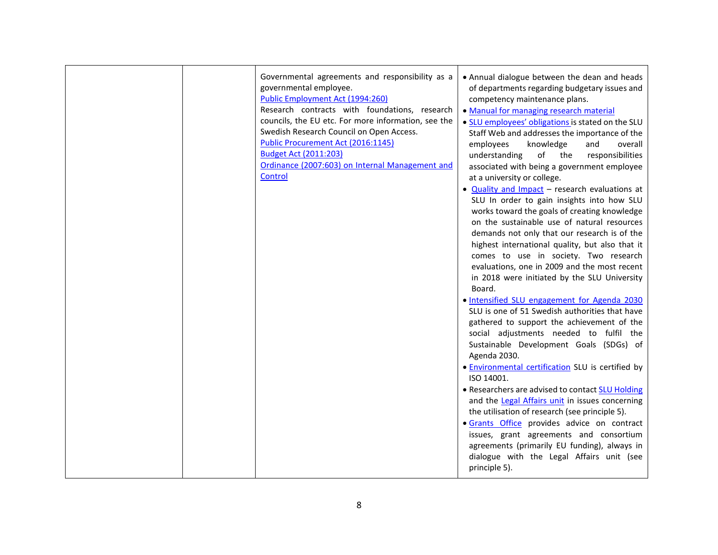| Governmental agreements and responsibility as a<br>governmental employee.<br>Public Employment Act (1994:260)<br>Research contracts with foundations, research<br>councils, the EU etc. For more information, see the<br>Swedish Research Council on Open Access.<br>Public Procurement Act (2016:1145)<br><b>Budget Act (2011:203)</b><br>Ordinance (2007:603) on Internal Management and<br>Control | • Annual dialogue between the dean and heads<br>of departments regarding budgetary issues and<br>competency maintenance plans.<br>. Manual for managing research material<br>. SLU employees' obligations is stated on the SLU<br>Staff Web and addresses the importance of the<br>employees<br>knowledge<br>overall<br>and<br>of<br>responsibilities<br>understanding<br>the<br>associated with being a government employee<br>at a university or college.<br>• Quality and Impact - research evaluations at<br>SLU In order to gain insights into how SLU<br>works toward the goals of creating knowledge<br>on the sustainable use of natural resources<br>demands not only that our research is of the<br>highest international quality, but also that it<br>comes to use in society. Two research<br>evaluations, one in 2009 and the most recent<br>in 2018 were initiated by the SLU University<br>Board.<br>. Intensified SLU engagement for Agenda 2030<br>SLU is one of 51 Swedish authorities that have<br>gathered to support the achievement of the<br>social adjustments needed to fulfil the<br>Sustainable Development Goals (SDGs) of<br>Agenda 2030.<br>· Environmental certification SLU is certified by<br>ISO 14001.<br>• Researchers are advised to contact SLU Holding<br>and the Legal Affairs unit in issues concerning<br>the utilisation of research (see principle 5).<br>· Grants Office provides advice on contract<br>issues, grant agreements and consortium<br>agreements (primarily EU funding), always in<br>dialogue with the Legal Affairs unit (see<br>principle 5). |
|-------------------------------------------------------------------------------------------------------------------------------------------------------------------------------------------------------------------------------------------------------------------------------------------------------------------------------------------------------------------------------------------------------|------------------------------------------------------------------------------------------------------------------------------------------------------------------------------------------------------------------------------------------------------------------------------------------------------------------------------------------------------------------------------------------------------------------------------------------------------------------------------------------------------------------------------------------------------------------------------------------------------------------------------------------------------------------------------------------------------------------------------------------------------------------------------------------------------------------------------------------------------------------------------------------------------------------------------------------------------------------------------------------------------------------------------------------------------------------------------------------------------------------------------------------------------------------------------------------------------------------------------------------------------------------------------------------------------------------------------------------------------------------------------------------------------------------------------------------------------------------------------------------------------------------------------------------------------------------------------------------------------------|
|-------------------------------------------------------------------------------------------------------------------------------------------------------------------------------------------------------------------------------------------------------------------------------------------------------------------------------------------------------------------------------------------------------|------------------------------------------------------------------------------------------------------------------------------------------------------------------------------------------------------------------------------------------------------------------------------------------------------------------------------------------------------------------------------------------------------------------------------------------------------------------------------------------------------------------------------------------------------------------------------------------------------------------------------------------------------------------------------------------------------------------------------------------------------------------------------------------------------------------------------------------------------------------------------------------------------------------------------------------------------------------------------------------------------------------------------------------------------------------------------------------------------------------------------------------------------------------------------------------------------------------------------------------------------------------------------------------------------------------------------------------------------------------------------------------------------------------------------------------------------------------------------------------------------------------------------------------------------------------------------------------------------------|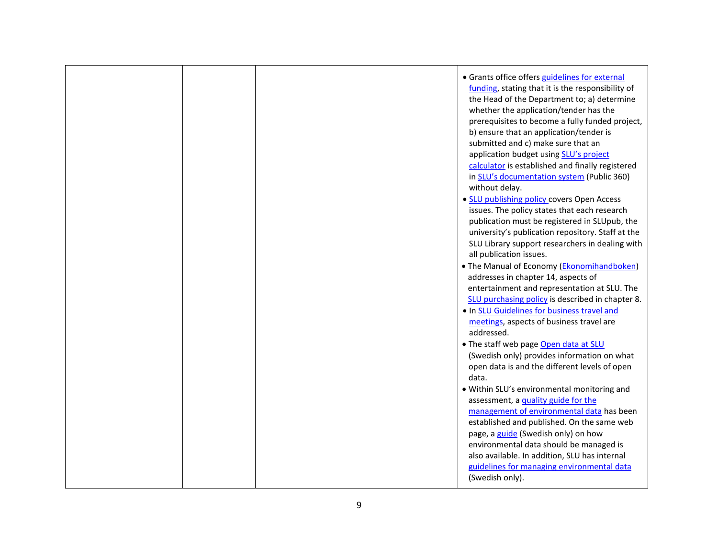|  | • Grants office offers guidelines for external<br>funding, stating that it is the responsibility of<br>the Head of the Department to; a) determine<br>whether the application/tender has the<br>prerequisites to become a fully funded project,<br>b) ensure that an application/tender is<br>submitted and c) make sure that an<br>application budget using SLU's project<br>calculator is established and finally registered<br>in SLU's documentation system (Public 360)<br>without delay.<br>• SLU publishing policy covers Open Access<br>issues. The policy states that each research<br>publication must be registered in SLUpub, the<br>university's publication repository. Staff at the<br>SLU Library support researchers in dealing with<br>all publication issues.<br>• The Manual of Economy (Ekonomihandboken)<br>addresses in chapter 14, aspects of<br>entertainment and representation at SLU. The<br>SLU purchasing policy is described in chapter 8.<br>. In SLU Guidelines for business travel and |
|--|--------------------------------------------------------------------------------------------------------------------------------------------------------------------------------------------------------------------------------------------------------------------------------------------------------------------------------------------------------------------------------------------------------------------------------------------------------------------------------------------------------------------------------------------------------------------------------------------------------------------------------------------------------------------------------------------------------------------------------------------------------------------------------------------------------------------------------------------------------------------------------------------------------------------------------------------------------------------------------------------------------------------------|
|  | meetings, aspects of business travel are<br>addressed.                                                                                                                                                                                                                                                                                                                                                                                                                                                                                                                                                                                                                                                                                                                                                                                                                                                                                                                                                                   |
|  | . The staff web page Open data at SLU<br>(Swedish only) provides information on what<br>open data is and the different levels of open<br>data.<br>. Within SLU's environmental monitoring and<br>assessment, a quality guide for the<br>management of environmental data has been<br>established and published. On the same web<br>page, a guide (Swedish only) on how<br>environmental data should be managed is<br>also available. In addition, SLU has internal                                                                                                                                                                                                                                                                                                                                                                                                                                                                                                                                                       |
|  | guidelines for managing environmental data<br>(Swedish only).                                                                                                                                                                                                                                                                                                                                                                                                                                                                                                                                                                                                                                                                                                                                                                                                                                                                                                                                                            |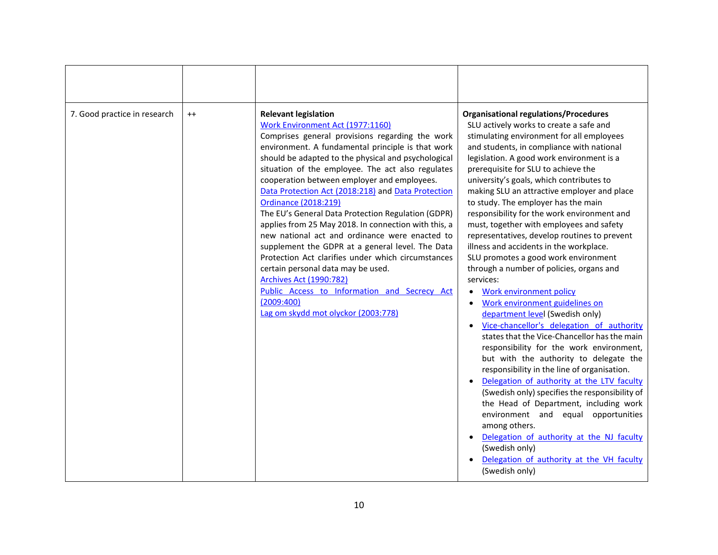| 7. Good practice in research | $^{++}$ | <b>Relevant legislation</b><br>Work Environment Act (1977:1160)<br>Comprises general provisions regarding the work<br>environment. A fundamental principle is that work<br>should be adapted to the physical and psychological<br>situation of the employee. The act also regulates<br>cooperation between employer and employees.<br>Data Protection Act (2018:218) and Data Protection<br>Ordinance (2018:219)<br>The EU's General Data Protection Regulation (GDPR)<br>applies from 25 May 2018. In connection with this, a<br>new national act and ordinance were enacted to<br>supplement the GDPR at a general level. The Data<br>Protection Act clarifies under which circumstances<br>certain personal data may be used.<br><b>Archives Act (1990:782)</b><br>Public Access to Information and Secrecy Act<br>(2009:400)<br>Lag om skydd mot olyckor (2003:778) | <b>Organisational regulations/Procedures</b><br>SLU actively works to create a safe and<br>stimulating environment for all employees<br>and students, in compliance with national<br>legislation. A good work environment is a<br>prerequisite for SLU to achieve the<br>university's goals, which contributes to<br>making SLU an attractive employer and place<br>to study. The employer has the main<br>responsibility for the work environment and<br>must, together with employees and safety<br>representatives, develop routines to prevent<br>illness and accidents in the workplace.<br>SLU promotes a good work environment<br>through a number of policies, organs and<br>services:<br>Work environment policy<br>$\bullet$<br>Work environment guidelines on<br>$\bullet$<br>department level (Swedish only)<br>Vice-chancellor's delegation of authority<br>$\bullet$<br>states that the Vice-Chancellor has the main<br>responsibility for the work environment,<br>but with the authority to delegate the<br>responsibility in the line of organisation.<br>Delegation of authority at the LTV faculty<br>(Swedish only) specifies the responsibility of<br>the Head of Department, including work<br>environment and equal opportunities<br>among others.<br>Delegation of authority at the NJ faculty<br>(Swedish only)<br>Delegation of authority at the VH faculty<br>(Swedish only) |
|------------------------------|---------|-------------------------------------------------------------------------------------------------------------------------------------------------------------------------------------------------------------------------------------------------------------------------------------------------------------------------------------------------------------------------------------------------------------------------------------------------------------------------------------------------------------------------------------------------------------------------------------------------------------------------------------------------------------------------------------------------------------------------------------------------------------------------------------------------------------------------------------------------------------------------|---------------------------------------------------------------------------------------------------------------------------------------------------------------------------------------------------------------------------------------------------------------------------------------------------------------------------------------------------------------------------------------------------------------------------------------------------------------------------------------------------------------------------------------------------------------------------------------------------------------------------------------------------------------------------------------------------------------------------------------------------------------------------------------------------------------------------------------------------------------------------------------------------------------------------------------------------------------------------------------------------------------------------------------------------------------------------------------------------------------------------------------------------------------------------------------------------------------------------------------------------------------------------------------------------------------------------------------------------------------------------------------------------------|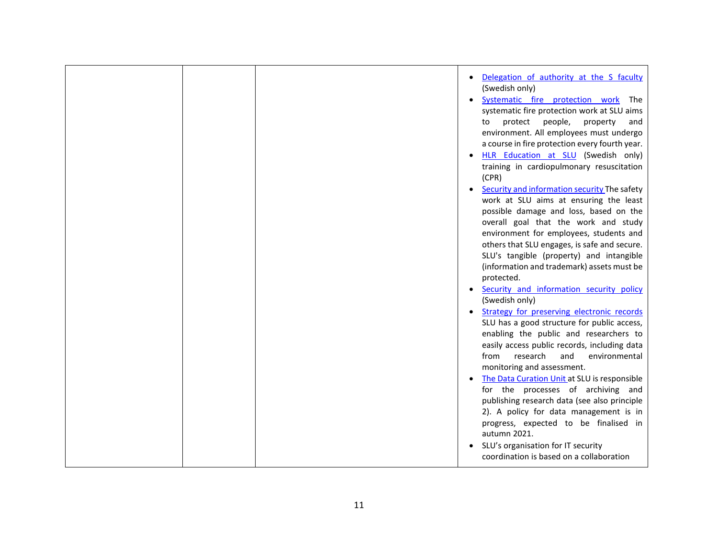|  | Delegation of authority at the S faculty<br>(Swedish only)<br>Systematic fire protection work The<br>systematic fire protection work at SLU aims<br>protect people,<br>property<br>to<br>and<br>environment. All employees must undergo<br>a course in fire protection every fourth year.<br>HLR Education at SLU (Swedish only)<br>training in cardiopulmonary resuscitation<br>(CPR)<br>Security and information security The safety<br>work at SLU aims at ensuring the least<br>possible damage and loss, based on the<br>overall goal that the work and study<br>environment for employees, students and<br>others that SLU engages, is safe and secure.<br>SLU's tangible (property) and intangible<br>(information and trademark) assets must be<br>protected.<br>Security and information security policy<br>(Swedish only)<br>Strategy for preserving electronic records<br>SLU has a good structure for public access,<br>enabling the public and researchers to<br>easily access public records, including data<br>from<br>research<br>and<br>environmental<br>monitoring and assessment.<br>The Data Curation Unit at SLU is responsible<br>for the processes of archiving and<br>publishing research data (see also principle |
|--|--------------------------------------------------------------------------------------------------------------------------------------------------------------------------------------------------------------------------------------------------------------------------------------------------------------------------------------------------------------------------------------------------------------------------------------------------------------------------------------------------------------------------------------------------------------------------------------------------------------------------------------------------------------------------------------------------------------------------------------------------------------------------------------------------------------------------------------------------------------------------------------------------------------------------------------------------------------------------------------------------------------------------------------------------------------------------------------------------------------------------------------------------------------------------------------------------------------------------------------------|
|  | 2). A policy for data management is in<br>progress, expected to be finalised in<br>autumn 2021.<br>SLU's organisation for IT security<br>coordination is based on a collaboration                                                                                                                                                                                                                                                                                                                                                                                                                                                                                                                                                                                                                                                                                                                                                                                                                                                                                                                                                                                                                                                          |
|  |                                                                                                                                                                                                                                                                                                                                                                                                                                                                                                                                                                                                                                                                                                                                                                                                                                                                                                                                                                                                                                                                                                                                                                                                                                            |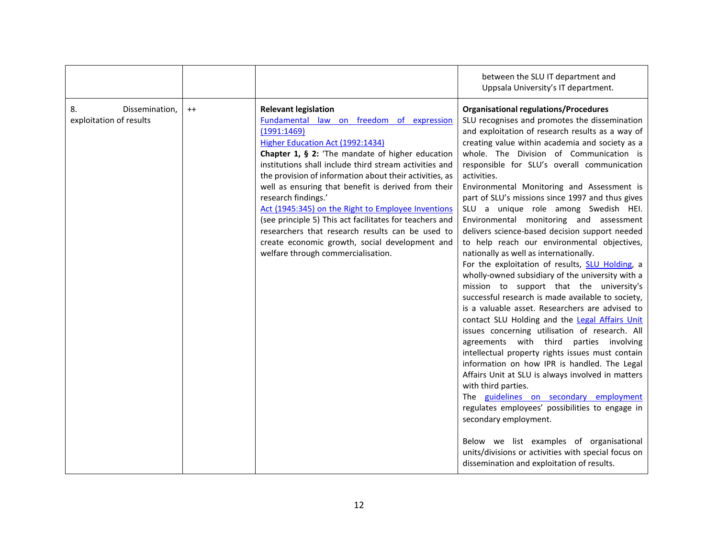|                                                 |         |                                                                                                                                                                                                                                                                                                                                                                                                                                                                                                                                                                                                                                                | between the SLU IT department and<br>Uppsala University's IT department.                                                                                                                                                                                                                                                                                                                                                                                                                                                                                                                                                                                                                                                                                                                                                                                                                                                                                                                                                                                                                                                                                                                                                                                                                                                                                                                                                                                                                                       |
|-------------------------------------------------|---------|------------------------------------------------------------------------------------------------------------------------------------------------------------------------------------------------------------------------------------------------------------------------------------------------------------------------------------------------------------------------------------------------------------------------------------------------------------------------------------------------------------------------------------------------------------------------------------------------------------------------------------------------|----------------------------------------------------------------------------------------------------------------------------------------------------------------------------------------------------------------------------------------------------------------------------------------------------------------------------------------------------------------------------------------------------------------------------------------------------------------------------------------------------------------------------------------------------------------------------------------------------------------------------------------------------------------------------------------------------------------------------------------------------------------------------------------------------------------------------------------------------------------------------------------------------------------------------------------------------------------------------------------------------------------------------------------------------------------------------------------------------------------------------------------------------------------------------------------------------------------------------------------------------------------------------------------------------------------------------------------------------------------------------------------------------------------------------------------------------------------------------------------------------------------|
| 8.<br>Dissemination,<br>exploitation of results | $^{++}$ | <b>Relevant legislation</b><br>Fundamental law on freedom of expression<br>(1991:1469)<br>Higher Education Act (1992:1434)<br>Chapter 1, § 2: 'The mandate of higher education<br>institutions shall include third stream activities and<br>the provision of information about their activities, as<br>well as ensuring that benefit is derived from their<br>research findings.'<br>Act (1945:345) on the Right to Employee Inventions<br>(see principle 5) This act facilitates for teachers and<br>researchers that research results can be used to<br>create economic growth, social development and<br>welfare through commercialisation. | <b>Organisational regulations/Procedures</b><br>SLU recognises and promotes the dissemination<br>and exploitation of research results as a way of<br>creating value within academia and society as a<br>whole. The Division of Communication is<br>responsible for SLU's overall communication<br>activities.<br>Environmental Monitoring and Assessment is<br>part of SLU's missions since 1997 and thus gives<br>SLU a unique role among Swedish HEI.<br>Environmental monitoring and assessment<br>delivers science-based decision support needed<br>to help reach our environmental objectives,<br>nationally as well as internationally.<br>For the exploitation of results, SLU Holding, a<br>wholly-owned subsidiary of the university with a<br>mission to support that the university's<br>successful research is made available to society,<br>is a valuable asset. Researchers are advised to<br>contact SLU Holding and the Legal Affairs Unit<br>issues concerning utilisation of research. All<br>agreements with third parties involving<br>intellectual property rights issues must contain<br>information on how IPR is handled. The Legal<br>Affairs Unit at SLU is always involved in matters<br>with third parties.<br>The guidelines on secondary employment<br>regulates employees' possibilities to engage in<br>secondary employment.<br>Below we list examples of organisational<br>units/divisions or activities with special focus on<br>dissemination and exploitation of results. |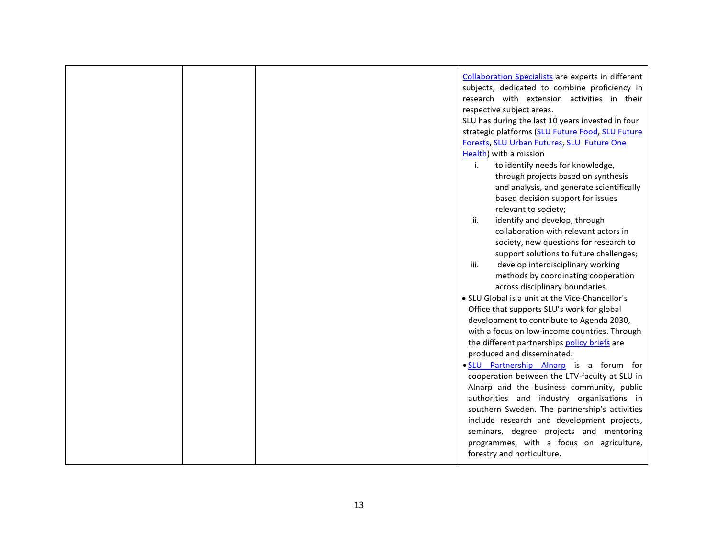|  | Collaboration Specialists are experts in different |
|--|----------------------------------------------------|
|  | subjects, dedicated to combine proficiency in      |
|  | research with extension activities in their        |
|  | respective subject areas.                          |
|  | SLU has during the last 10 years invested in four  |
|  | strategic platforms (SLU Future Food, SLU Future   |
|  | Forests, SLU Urban Futures, SLU Future One         |
|  | Health) with a mission                             |
|  | $\mathbf{i}$ .<br>to identify needs for knowledge, |
|  | through projects based on synthesis                |
|  | and analysis, and generate scientifically          |
|  | based decision support for issues                  |
|  | relevant to society;                               |
|  | identify and develop, through<br>ii.               |
|  | collaboration with relevant actors in              |
|  | society, new questions for research to             |
|  | support solutions to future challenges;            |
|  | iii.<br>develop interdisciplinary working          |
|  | methods by coordinating cooperation                |
|  | across disciplinary boundaries.                    |
|  | • SLU Global is a unit at the Vice-Chancellor's    |
|  | Office that supports SLU's work for global         |
|  | development to contribute to Agenda 2030,          |
|  | with a focus on low-income countries. Through      |
|  | the different partnerships policy briefs are       |
|  | produced and disseminated.                         |
|  | . SLU Partnership Alnarp is a forum for            |
|  | cooperation between the LTV-faculty at SLU in      |
|  | Alnarp and the business community, public          |
|  | authorities and industry organisations in          |
|  | southern Sweden. The partnership's activities      |
|  | include research and development projects,         |
|  | seminars, degree projects and mentoring            |
|  | programmes, with a focus on agriculture,           |
|  | forestry and horticulture.                         |
|  |                                                    |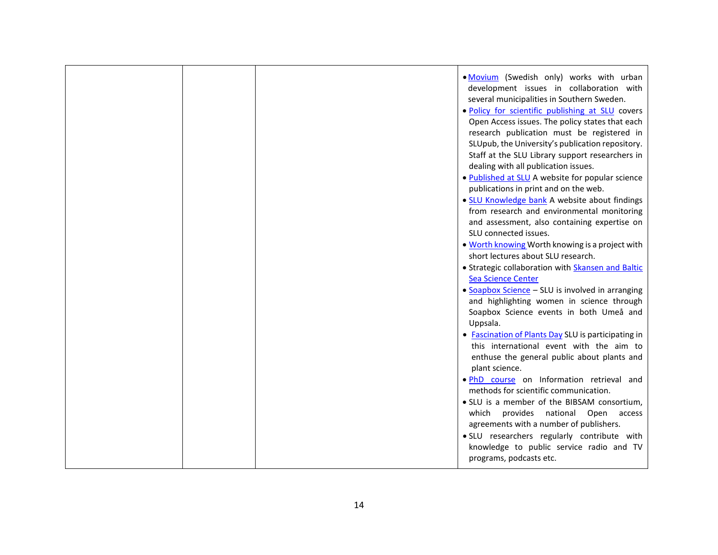|  | . Movium (Swedish only) works with urban<br>development issues in collaboration with<br>several municipalities in Southern Sweden.<br>. Policy for scientific publishing at SLU covers<br>Open Access issues. The policy states that each<br>research publication must be registered in<br>SLUpub, the University's publication repository.<br>Staff at the SLU Library support researchers in<br>dealing with all publication issues.<br>. Published at SLU A website for popular science<br>publications in print and on the web.<br>· SLU Knowledge bank A website about findings<br>from research and environmental monitoring<br>and assessment, also containing expertise on<br>SLU connected issues.<br>. Worth knowing Worth knowing is a project with<br>short lectures about SLU research.<br>· Strategic collaboration with Skansen and Baltic<br><b>Sea Science Center</b><br>• Soapbox Science - SLU is involved in arranging<br>and highlighting women in science through<br>Soapbox Science events in both Umeå and<br>Uppsala.<br>• Fascination of Plants Day SLU is participating in<br>this international event with the aim to<br>enthuse the general public about plants and |
|--|--------------------------------------------------------------------------------------------------------------------------------------------------------------------------------------------------------------------------------------------------------------------------------------------------------------------------------------------------------------------------------------------------------------------------------------------------------------------------------------------------------------------------------------------------------------------------------------------------------------------------------------------------------------------------------------------------------------------------------------------------------------------------------------------------------------------------------------------------------------------------------------------------------------------------------------------------------------------------------------------------------------------------------------------------------------------------------------------------------------------------------------------------------------------------------------------------|
|  | plant science.                                                                                                                                                                                                                                                                                                                                                                                                                                                                                                                                                                                                                                                                                                                                                                                                                                                                                                                                                                                                                                                                                                                                                                                   |
|  | . PhD course on Information retrieval and<br>methods for scientific communication.<br>• SLU is a member of the BIBSAM consortium,                                                                                                                                                                                                                                                                                                                                                                                                                                                                                                                                                                                                                                                                                                                                                                                                                                                                                                                                                                                                                                                                |
|  | which provides national Open access<br>agreements with a number of publishers.<br>· SLU researchers regularly contribute with<br>knowledge to public service radio and TV<br>programs, podcasts etc.                                                                                                                                                                                                                                                                                                                                                                                                                                                                                                                                                                                                                                                                                                                                                                                                                                                                                                                                                                                             |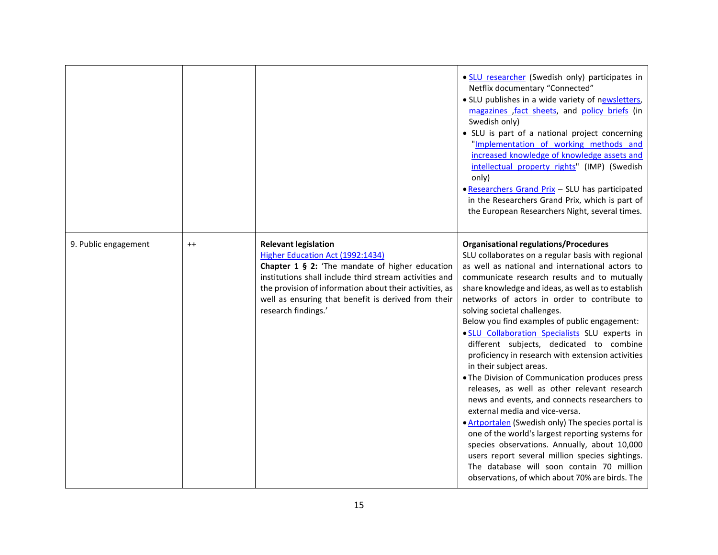|                      |         |                                                                                                                                                                                                                                                                                                                       | · SLU researcher (Swedish only) participates in<br>Netflix documentary "Connected"<br>. SLU publishes in a wide variety of newsletters,<br>magazines fact sheets, and policy briefs (in<br>Swedish only)<br>• SLU is part of a national project concerning<br>"Implementation of working methods and<br>increased knowledge of knowledge assets and<br>intellectual property rights" (IMP) (Swedish<br>only)<br>• Researchers Grand Prix - SLU has participated<br>in the Researchers Grand Prix, which is part of<br>the European Researchers Night, several times.                                                                                                                                                                                                                                                                                                                                                                                                                                                                                                       |
|----------------------|---------|-----------------------------------------------------------------------------------------------------------------------------------------------------------------------------------------------------------------------------------------------------------------------------------------------------------------------|----------------------------------------------------------------------------------------------------------------------------------------------------------------------------------------------------------------------------------------------------------------------------------------------------------------------------------------------------------------------------------------------------------------------------------------------------------------------------------------------------------------------------------------------------------------------------------------------------------------------------------------------------------------------------------------------------------------------------------------------------------------------------------------------------------------------------------------------------------------------------------------------------------------------------------------------------------------------------------------------------------------------------------------------------------------------------|
| 9. Public engagement | $^{++}$ | <b>Relevant legislation</b><br>Higher Education Act (1992:1434)<br>Chapter 1 § 2: 'The mandate of higher education<br>institutions shall include third stream activities and<br>the provision of information about their activities, as<br>well as ensuring that benefit is derived from their<br>research findings.' | <b>Organisational regulations/Procedures</b><br>SLU collaborates on a regular basis with regional<br>as well as national and international actors to<br>communicate research results and to mutually<br>share knowledge and ideas, as well as to establish<br>networks of actors in order to contribute to<br>solving societal challenges.<br>Below you find examples of public engagement:<br>. SLU Collaboration Specialists SLU experts in<br>different subjects, dedicated to combine<br>proficiency in research with extension activities<br>in their subject areas.<br>. The Division of Communication produces press<br>releases, as well as other relevant research<br>news and events, and connects researchers to<br>external media and vice-versa.<br>• Artportalen (Swedish only) The species portal is<br>one of the world's largest reporting systems for<br>species observations. Annually, about 10,000<br>users report several million species sightings.<br>The database will soon contain 70 million<br>observations, of which about 70% are birds. The |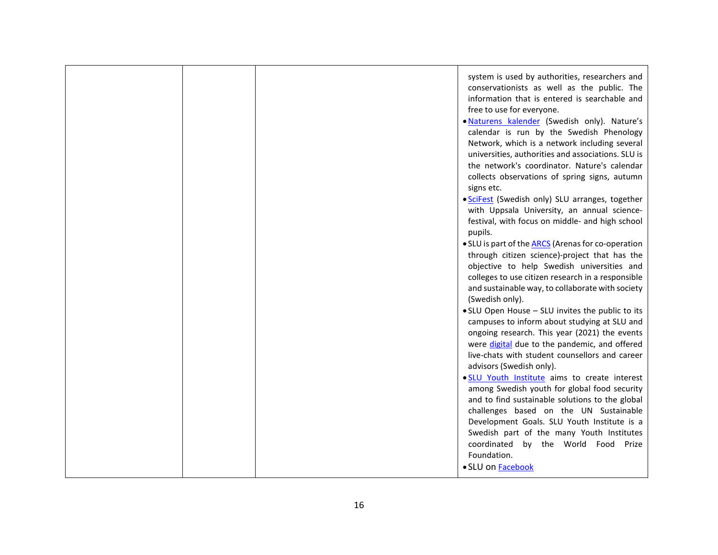|  | system is used by authorities, researchers and<br>conservationists as well as the public. The<br>information that is entered is searchable and<br>free to use for everyone.<br>. Naturens kalender (Swedish only). Nature's<br>calendar is run by the Swedish Phenology<br>Network, which is a network including several<br>universities, authorities and associations. SLU is<br>the network's coordinator. Nature's calendar<br>collects observations of spring signs, autumn<br>signs etc.<br>· SciFest (Swedish only) SLU arranges, together<br>with Uppsala University, an annual science-<br>festival, with focus on middle- and high school<br>pupils.<br>• SLU is part of the ARCS (Arenas for co-operation<br>through citizen science)-project that has the<br>objective to help Swedish universities and<br>colleges to use citizen research in a responsible<br>and sustainable way, to collaborate with society<br>(Swedish only).<br>. SLU Open House - SLU invites the public to its<br>campuses to inform about studying at SLU and<br>ongoing research. This year (2021) the events<br>were digital due to the pandemic, and offered<br>live-chats with student counsellors and career<br>advisors (Swedish only).<br>. SLU Youth Institute aims to create interest<br>among Swedish youth for global food security<br>and to find sustainable solutions to the global |
|--|----------------------------------------------------------------------------------------------------------------------------------------------------------------------------------------------------------------------------------------------------------------------------------------------------------------------------------------------------------------------------------------------------------------------------------------------------------------------------------------------------------------------------------------------------------------------------------------------------------------------------------------------------------------------------------------------------------------------------------------------------------------------------------------------------------------------------------------------------------------------------------------------------------------------------------------------------------------------------------------------------------------------------------------------------------------------------------------------------------------------------------------------------------------------------------------------------------------------------------------------------------------------------------------------------------------------------------------------------------------------------------------|
|  | challenges based on the UN Sustainable<br>Development Goals. SLU Youth Institute is a<br>Swedish part of the many Youth Institutes<br>coordinated by the World Food Prize<br>Foundation.<br>· SLU on Facebook                                                                                                                                                                                                                                                                                                                                                                                                                                                                                                                                                                                                                                                                                                                                                                                                                                                                                                                                                                                                                                                                                                                                                                          |
|  |                                                                                                                                                                                                                                                                                                                                                                                                                                                                                                                                                                                                                                                                                                                                                                                                                                                                                                                                                                                                                                                                                                                                                                                                                                                                                                                                                                                        |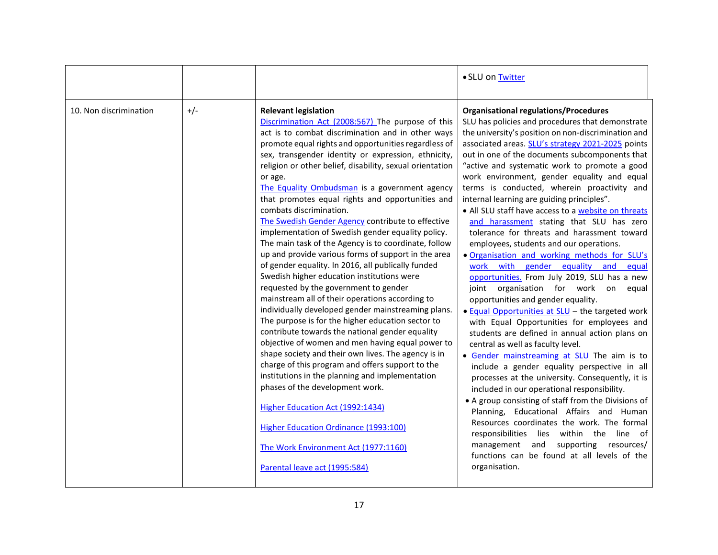|                        |       |                                                                                                                                                                                                                                                                                                                                                                                                                                                                                                                                                                                                                                                                                                                                                                                                                                                                                                                                                                                                                                                                                                                                                                                                                                                                                                                                                                                                                                                                      | · SLU on Twitter                                                                                                                                                                                                                                                                                                                                                                                                                                                                                                                                                                                                                                                                                                                                                                                                                                                                                                                                                                                                                                                                                                                                                                                                                                                                                                                                                                                                                                                                                                                                                                         |
|------------------------|-------|----------------------------------------------------------------------------------------------------------------------------------------------------------------------------------------------------------------------------------------------------------------------------------------------------------------------------------------------------------------------------------------------------------------------------------------------------------------------------------------------------------------------------------------------------------------------------------------------------------------------------------------------------------------------------------------------------------------------------------------------------------------------------------------------------------------------------------------------------------------------------------------------------------------------------------------------------------------------------------------------------------------------------------------------------------------------------------------------------------------------------------------------------------------------------------------------------------------------------------------------------------------------------------------------------------------------------------------------------------------------------------------------------------------------------------------------------------------------|------------------------------------------------------------------------------------------------------------------------------------------------------------------------------------------------------------------------------------------------------------------------------------------------------------------------------------------------------------------------------------------------------------------------------------------------------------------------------------------------------------------------------------------------------------------------------------------------------------------------------------------------------------------------------------------------------------------------------------------------------------------------------------------------------------------------------------------------------------------------------------------------------------------------------------------------------------------------------------------------------------------------------------------------------------------------------------------------------------------------------------------------------------------------------------------------------------------------------------------------------------------------------------------------------------------------------------------------------------------------------------------------------------------------------------------------------------------------------------------------------------------------------------------------------------------------------------------|
| 10. Non discrimination | $+/-$ | <b>Relevant legislation</b><br>Discrimination Act (2008:567) The purpose of this<br>act is to combat discrimination and in other ways<br>promote equal rights and opportunities regardless of<br>sex, transgender identity or expression, ethnicity,<br>religion or other belief, disability, sexual orientation<br>or age.<br>The Equality Ombudsman is a government agency<br>that promotes equal rights and opportunities and<br>combats discrimination.<br>The Swedish Gender Agency contribute to effective<br>implementation of Swedish gender equality policy.<br>The main task of the Agency is to coordinate, follow<br>up and provide various forms of support in the area<br>of gender equality. In 2016, all publically funded<br>Swedish higher education institutions were<br>requested by the government to gender<br>mainstream all of their operations according to<br>individually developed gender mainstreaming plans.<br>The purpose is for the higher education sector to<br>contribute towards the national gender equality<br>objective of women and men having equal power to<br>shape society and their own lives. The agency is in<br>charge of this program and offers support to the<br>institutions in the planning and implementation<br>phases of the development work.<br>Higher Education Act (1992:1434)<br><b>Higher Education Ordinance (1993:100)</b><br>The Work Environment Act (1977:1160)<br>Parental leave act (1995:584) | <b>Organisational regulations/Procedures</b><br>SLU has policies and procedures that demonstrate<br>the university's position on non-discrimination and<br>associated areas. SLU's strategy 2021-2025 points<br>out in one of the documents subcomponents that<br>"active and systematic work to promote a good<br>work environment, gender equality and equal<br>terms is conducted, wherein proactivity and<br>internal learning are guiding principles".<br>• All SLU staff have access to a website on threats<br>and harassment stating that SLU has zero<br>tolerance for threats and harassment toward<br>employees, students and our operations.<br>. Organisation and working methods for SLU's<br>work with gender equality and<br>equal<br>opportunities. From July 2019, SLU has a new<br>joint organisation for work on<br>equal<br>opportunities and gender equality.<br>• Equal Opportunities at SLU - the targeted work<br>with Equal Opportunities for employees and<br>students are defined in annual action plans on<br>central as well as faculty level.<br>• Gender mainstreaming at SLU The aim is to<br>include a gender equality perspective in all<br>processes at the university. Consequently, it is<br>included in our operational responsibility.<br>• A group consisting of staff from the Divisions of<br>Planning, Educational Affairs and Human<br>Resources coordinates the work. The formal<br>responsibilities lies within the line of<br>management and<br>supporting<br>resources/<br>functions can be found at all levels of the<br>organisation. |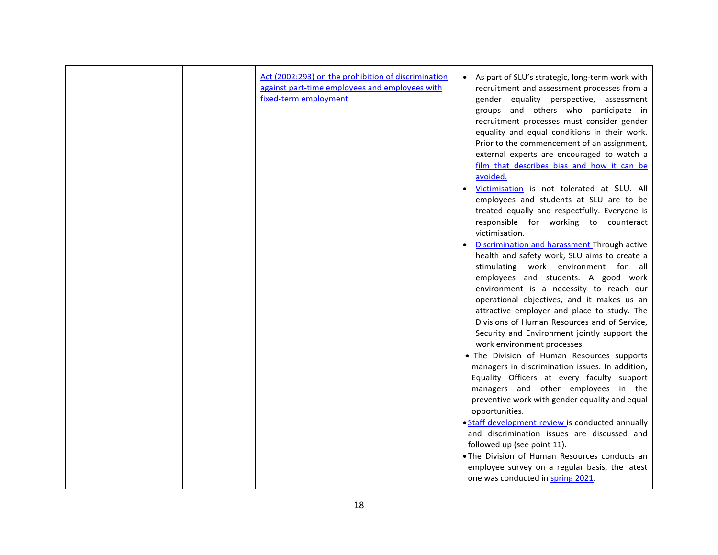|  | Act (2002:293) on the prohibition of discrimination<br>against part-time employees and employees with<br>fixed-term employment | As part of SLU's strategic, long-term work with<br>$\bullet$<br>recruitment and assessment processes from a<br>gender equality perspective, assessment<br>groups and others who participate in<br>recruitment processes must consider gender<br>equality and equal conditions in their work.<br>Prior to the commencement of an assignment,<br>external experts are encouraged to watch a<br>film that describes bias and how it can be<br>avoided.<br>Victimisation is not tolerated at SLU. All<br>employees and students at SLU are to be<br>treated equally and respectfully. Everyone is<br>responsible for working to counteract<br>victimisation.<br>Discrimination and harassment Through active<br>health and safety work, SLU aims to create a<br>stimulating work environment for all<br>employees and students. A good work<br>environment is a necessity to reach our<br>operational objectives, and it makes us an<br>attractive employer and place to study. The<br>Divisions of Human Resources and of Service,<br>Security and Environment jointly support the<br>work environment processes.<br>. The Division of Human Resources supports<br>managers in discrimination issues. In addition,<br>Equality Officers at every faculty support<br>managers and other employees in the<br>preventive work with gender equality and equal<br>opportunities.<br>· Staff development review is conducted annually<br>and discrimination issues are discussed and |
|--|--------------------------------------------------------------------------------------------------------------------------------|-----------------------------------------------------------------------------------------------------------------------------------------------------------------------------------------------------------------------------------------------------------------------------------------------------------------------------------------------------------------------------------------------------------------------------------------------------------------------------------------------------------------------------------------------------------------------------------------------------------------------------------------------------------------------------------------------------------------------------------------------------------------------------------------------------------------------------------------------------------------------------------------------------------------------------------------------------------------------------------------------------------------------------------------------------------------------------------------------------------------------------------------------------------------------------------------------------------------------------------------------------------------------------------------------------------------------------------------------------------------------------------------------------------------------------------------------------------------------------|
|  |                                                                                                                                | followed up (see point 11).<br>. The Division of Human Resources conducts an<br>employee survey on a regular basis, the latest<br>one was conducted in spring 2021.                                                                                                                                                                                                                                                                                                                                                                                                                                                                                                                                                                                                                                                                                                                                                                                                                                                                                                                                                                                                                                                                                                                                                                                                                                                                                                         |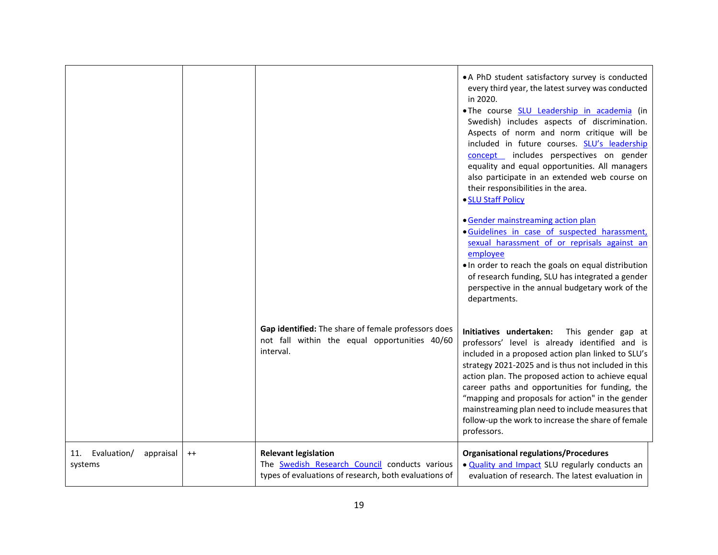|                                         |         | Gap identified: The share of female professors does<br>not fall within the equal opportunities 40/60<br>interval.                            | • A PhD student satisfactory survey is conducted<br>every third year, the latest survey was conducted<br>in 2020.<br>.The course SLU Leadership in academia (in<br>Swedish) includes aspects of discrimination.<br>Aspects of norm and norm critique will be<br>included in future courses. SLU's leadership<br>concept includes perspectives on gender<br>equality and equal opportunities. All managers<br>also participate in an extended web course on<br>their responsibilities in the area.<br>• SLU Staff Policy<br>• Gender mainstreaming action plan<br>· Guidelines in case of suspected harassment,<br>sexual harassment of or reprisals against an<br>employee<br>. In order to reach the goals on equal distribution<br>of research funding, SLU has integrated a gender<br>perspective in the annual budgetary work of the<br>departments.<br>Initiatives undertaken:<br>This gender gap at<br>professors' level is already identified and is<br>included in a proposed action plan linked to SLU's<br>strategy 2021-2025 and is thus not included in this<br>action plan. The proposed action to achieve equal<br>career paths and opportunities for funding, the<br>"mapping and proposals for action" in the gender<br>mainstreaming plan need to include measures that |
|-----------------------------------------|---------|----------------------------------------------------------------------------------------------------------------------------------------------|------------------------------------------------------------------------------------------------------------------------------------------------------------------------------------------------------------------------------------------------------------------------------------------------------------------------------------------------------------------------------------------------------------------------------------------------------------------------------------------------------------------------------------------------------------------------------------------------------------------------------------------------------------------------------------------------------------------------------------------------------------------------------------------------------------------------------------------------------------------------------------------------------------------------------------------------------------------------------------------------------------------------------------------------------------------------------------------------------------------------------------------------------------------------------------------------------------------------------------------------------------------------------------------|
|                                         |         |                                                                                                                                              | follow-up the work to increase the share of female<br>professors.                                                                                                                                                                                                                                                                                                                                                                                                                                                                                                                                                                                                                                                                                                                                                                                                                                                                                                                                                                                                                                                                                                                                                                                                                        |
| 11. Evaluation/<br>appraisal<br>systems | $^{++}$ | <b>Relevant legislation</b><br>The <b>Swedish Research Council</b> conducts various<br>types of evaluations of research, both evaluations of | <b>Organisational regulations/Procedures</b><br>. Quality and Impact SLU regularly conducts an<br>evaluation of research. The latest evaluation in                                                                                                                                                                                                                                                                                                                                                                                                                                                                                                                                                                                                                                                                                                                                                                                                                                                                                                                                                                                                                                                                                                                                       |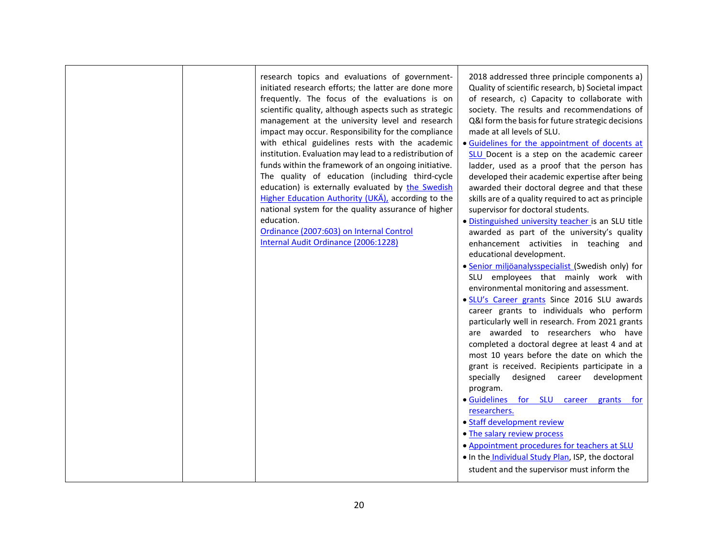|  | research topics and evaluations of government-                                                             | 2018 addressed three principle components a)                                                  |
|--|------------------------------------------------------------------------------------------------------------|-----------------------------------------------------------------------------------------------|
|  | initiated research efforts; the latter are done more                                                       | Quality of scientific research, b) Societal impact                                            |
|  | frequently. The focus of the evaluations is on                                                             | of research, c) Capacity to collaborate with                                                  |
|  | scientific quality, although aspects such as strategic                                                     | society. The results and recommendations of                                                   |
|  | management at the university level and research                                                            | Q&I form the basis for future strategic decisions                                             |
|  | impact may occur. Responsibility for the compliance                                                        | made at all levels of SLU.                                                                    |
|  | with ethical guidelines rests with the academic<br>institution. Evaluation may lead to a redistribution of | · Guidelines for the appointment of docents at<br>SLU Docent is a step on the academic career |
|  | funds within the framework of an ongoing initiative.                                                       | ladder, used as a proof that the person has                                                   |
|  | The quality of education (including third-cycle                                                            | developed their academic expertise after being                                                |
|  | education) is externally evaluated by the Swedish                                                          | awarded their doctoral degree and that these                                                  |
|  | Higher Education Authority (UKÄ), according to the                                                         | skills are of a quality required to act as principle                                          |
|  | national system for the quality assurance of higher                                                        | supervisor for doctoral students.                                                             |
|  | education.                                                                                                 | · Distinguished university teacher is an SLU title                                            |
|  | Ordinance (2007:603) on Internal Control                                                                   | awarded as part of the university's quality                                                   |
|  | Internal Audit Ordinance (2006:1228)                                                                       | enhancement activities in teaching and                                                        |
|  |                                                                                                            | educational development.<br>· Senior miljöanalysspecialist (Swedish only) for                 |
|  |                                                                                                            | SLU employees that mainly work with                                                           |
|  |                                                                                                            | environmental monitoring and assessment.                                                      |
|  |                                                                                                            | . SLU's Career grants Since 2016 SLU awards                                                   |
|  |                                                                                                            | career grants to individuals who perform                                                      |
|  |                                                                                                            | particularly well in research. From 2021 grants                                               |
|  |                                                                                                            | are awarded to researchers who have                                                           |
|  |                                                                                                            | completed a doctoral degree at least 4 and at                                                 |
|  |                                                                                                            | most 10 years before the date on which the                                                    |
|  |                                                                                                            | grant is received. Recipients participate in a                                                |
|  |                                                                                                            | specially<br>designed career development<br>program.                                          |
|  |                                                                                                            | · Guidelines for SLU career grants for                                                        |
|  |                                                                                                            | researchers.                                                                                  |
|  |                                                                                                            | • Staff development review                                                                    |
|  |                                                                                                            | • The salary review process                                                                   |
|  |                                                                                                            | • Appointment procedures for teachers at SLU                                                  |
|  |                                                                                                            | . In the Individual Study Plan, ISP, the doctoral                                             |
|  |                                                                                                            | student and the supervisor must inform the                                                    |
|  |                                                                                                            |                                                                                               |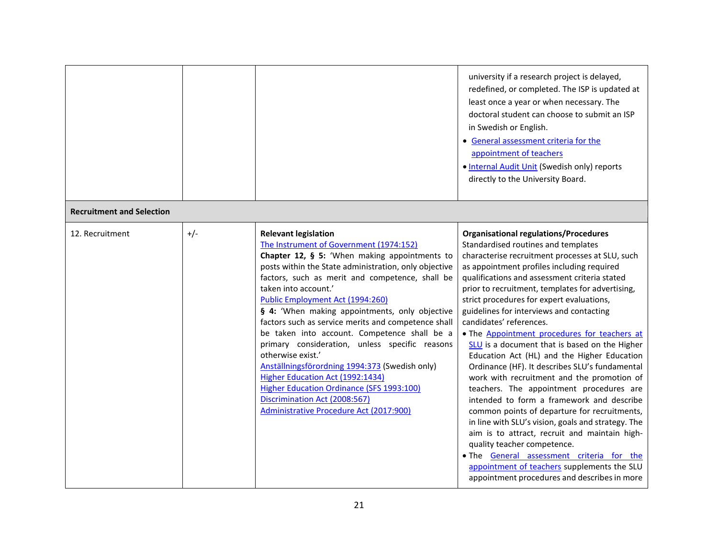|                                  |       |                                                                                                                                                                                                                                                                                                                                                                                                                                                                                                                                                                                                                                                                                                                                                | university if a research project is delayed,<br>redefined, or completed. The ISP is updated at<br>least once a year or when necessary. The<br>doctoral student can choose to submit an ISP<br>in Swedish or English.<br>• General assessment criteria for the<br>appointment of teachers<br>. Internal Audit Unit (Swedish only) reports<br>directly to the University Board.                                                                                                                                                                                                                                                                                                                                                                                                                                                                                                                                                                                                                                                                                                            |
|----------------------------------|-------|------------------------------------------------------------------------------------------------------------------------------------------------------------------------------------------------------------------------------------------------------------------------------------------------------------------------------------------------------------------------------------------------------------------------------------------------------------------------------------------------------------------------------------------------------------------------------------------------------------------------------------------------------------------------------------------------------------------------------------------------|------------------------------------------------------------------------------------------------------------------------------------------------------------------------------------------------------------------------------------------------------------------------------------------------------------------------------------------------------------------------------------------------------------------------------------------------------------------------------------------------------------------------------------------------------------------------------------------------------------------------------------------------------------------------------------------------------------------------------------------------------------------------------------------------------------------------------------------------------------------------------------------------------------------------------------------------------------------------------------------------------------------------------------------------------------------------------------------|
| <b>Recruitment and Selection</b> |       |                                                                                                                                                                                                                                                                                                                                                                                                                                                                                                                                                                                                                                                                                                                                                |                                                                                                                                                                                                                                                                                                                                                                                                                                                                                                                                                                                                                                                                                                                                                                                                                                                                                                                                                                                                                                                                                          |
| 12. Recruitment                  | $+/-$ | <b>Relevant legislation</b><br>The Instrument of Government (1974:152)<br>Chapter 12, § 5: 'When making appointments to<br>posts within the State administration, only objective<br>factors, such as merit and competence, shall be<br>taken into account.'<br>Public Employment Act (1994:260)<br>§ 4: 'When making appointments, only objective<br>factors such as service merits and competence shall<br>be taken into account. Competence shall be a<br>primary consideration, unless specific reasons<br>otherwise exist.'<br>Anställningsförordning 1994:373 (Swedish only)<br>Higher Education Act (1992:1434)<br>Higher Education Ordinance (SFS 1993:100)<br>Discrimination Act (2008:567)<br>Administrative Procedure Act (2017:900) | <b>Organisational regulations/Procedures</b><br>Standardised routines and templates<br>characterise recruitment processes at SLU, such<br>as appointment profiles including required<br>qualifications and assessment criteria stated<br>prior to recruitment, templates for advertising,<br>strict procedures for expert evaluations,<br>guidelines for interviews and contacting<br>candidates' references.<br>. The Appointment procedures for teachers at<br>SLU is a document that is based on the Higher<br>Education Act (HL) and the Higher Education<br>Ordinance (HF). It describes SLU's fundamental<br>work with recruitment and the promotion of<br>teachers. The appointment procedures are<br>intended to form a framework and describe<br>common points of departure for recruitments,<br>in line with SLU's vision, goals and strategy. The<br>aim is to attract, recruit and maintain high-<br>quality teacher competence.<br>. The General assessment criteria for the<br>appointment of teachers supplements the SLU<br>appointment procedures and describes in more |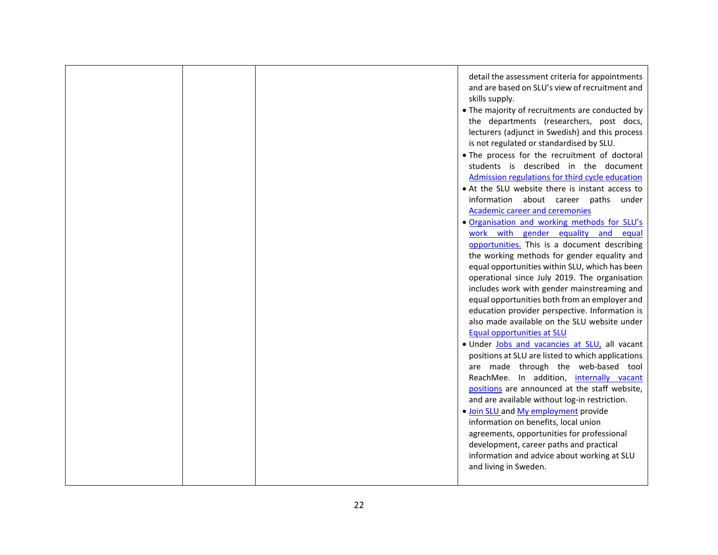|  | detail the assessment criteria for appointments<br>and are based on SLU's view of recruitment and<br>skills supply.<br>• The majority of recruitments are conducted by<br>the departments (researchers, post docs,<br>lecturers (adjunct in Swedish) and this process<br>is not regulated or standardised by SLU.<br>• The process for the recruitment of doctoral<br>students is described in the document<br>Admission regulations for third cycle education<br>• At the SLU website there is instant access to<br>information about career paths under<br>Academic career and ceremonies<br>. Organisation and working methods for SLU's<br>work with gender equality and equal<br>opportunities. This is a document describing<br>the working methods for gender equality and<br>equal opportunities within SLU, which has been<br>operational since July 2019. The organisation<br>includes work with gender mainstreaming and<br>equal opportunities both from an employer and<br>education provider perspective. Information is<br>also made available on the SLU website under<br><b>Equal opportunities at SLU</b><br>. Under Jobs and vacancies at SLU, all vacant<br>positions at SLU are listed to which applications<br>are made through the web-based tool<br>ReachMee. In addition, internally vacant<br>positions are announced at the staff website,<br>and are available without log-in restriction.<br>. Join SLU and My employment provide<br>information on benefits, local union<br>agreements, opportunities for professional |
|--|------------------------------------------------------------------------------------------------------------------------------------------------------------------------------------------------------------------------------------------------------------------------------------------------------------------------------------------------------------------------------------------------------------------------------------------------------------------------------------------------------------------------------------------------------------------------------------------------------------------------------------------------------------------------------------------------------------------------------------------------------------------------------------------------------------------------------------------------------------------------------------------------------------------------------------------------------------------------------------------------------------------------------------------------------------------------------------------------------------------------------------------------------------------------------------------------------------------------------------------------------------------------------------------------------------------------------------------------------------------------------------------------------------------------------------------------------------------------------------------------------------------------------------------------------|
|  | development, career paths and practical<br>information and advice about working at SLU<br>and living in Sweden.                                                                                                                                                                                                                                                                                                                                                                                                                                                                                                                                                                                                                                                                                                                                                                                                                                                                                                                                                                                                                                                                                                                                                                                                                                                                                                                                                                                                                                      |
|  |                                                                                                                                                                                                                                                                                                                                                                                                                                                                                                                                                                                                                                                                                                                                                                                                                                                                                                                                                                                                                                                                                                                                                                                                                                                                                                                                                                                                                                                                                                                                                      |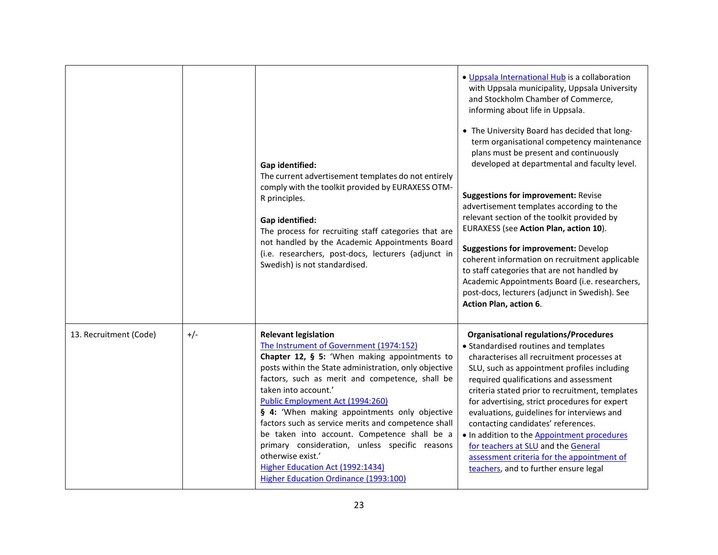|                        |       | Gap identified:<br>The current advertisement templates do not entirely<br>comply with the toolkit provided by EURAXESS OTM-<br>R principles.<br>Gap identified:<br>The process for recruiting staff categories that are<br>not handled by the Academic Appointments Board<br>(i.e. researchers, post-docs, lecturers (adjunct in<br>Swedish) is not standardised.                                                                                                                                                                                                                                                  | . Uppsala International Hub is a collaboration<br>with Uppsala municipality, Uppsala University<br>and Stockholm Chamber of Commerce,<br>informing about life in Uppsala.<br>• The University Board has decided that long-<br>term organisational competency maintenance<br>plans must be present and continuously<br>developed at departmental and faculty level.<br><b>Suggestions for improvement: Revise</b><br>advertisement templates according to the<br>relevant section of the toolkit provided by<br>EURAXESS (see Action Plan, action 10).<br><b>Suggestions for improvement: Develop</b><br>coherent information on recruitment applicable<br>to staff categories that are not handled by<br>Academic Appointments Board (i.e. researchers,<br>post-docs, lecturers (adjunct in Swedish). See<br>Action Plan, action 6. |
|------------------------|-------|--------------------------------------------------------------------------------------------------------------------------------------------------------------------------------------------------------------------------------------------------------------------------------------------------------------------------------------------------------------------------------------------------------------------------------------------------------------------------------------------------------------------------------------------------------------------------------------------------------------------|-------------------------------------------------------------------------------------------------------------------------------------------------------------------------------------------------------------------------------------------------------------------------------------------------------------------------------------------------------------------------------------------------------------------------------------------------------------------------------------------------------------------------------------------------------------------------------------------------------------------------------------------------------------------------------------------------------------------------------------------------------------------------------------------------------------------------------------|
| 13. Recruitment (Code) | $+/-$ | <b>Relevant legislation</b><br>The Instrument of Government (1974:152)<br>Chapter 12, § 5: 'When making appointments to<br>posts within the State administration, only objective<br>factors, such as merit and competence, shall be<br>taken into account.'<br>Public Employment Act (1994:260)<br>§ 4: 'When making appointments only objective<br>factors such as service merits and competence shall<br>be taken into account. Competence shall be a<br>primary consideration, unless specific reasons<br>otherwise exist.'<br>Higher Education Act (1992:1434)<br><b>Higher Education Ordinance (1993:100)</b> | <b>Organisational regulations/Procedures</b><br>• Standardised routines and templates<br>characterises all recruitment processes at<br>SLU, such as appointment profiles including<br>required qualifications and assessment<br>criteria stated prior to recruitment, templates<br>for advertising, strict procedures for expert<br>evaluations, guidelines for interviews and<br>contacting candidates' references.<br>. In addition to the Appointment procedures<br>for teachers at SLU and the General<br>assessment criteria for the appointment of<br>teachers, and to further ensure legal                                                                                                                                                                                                                                   |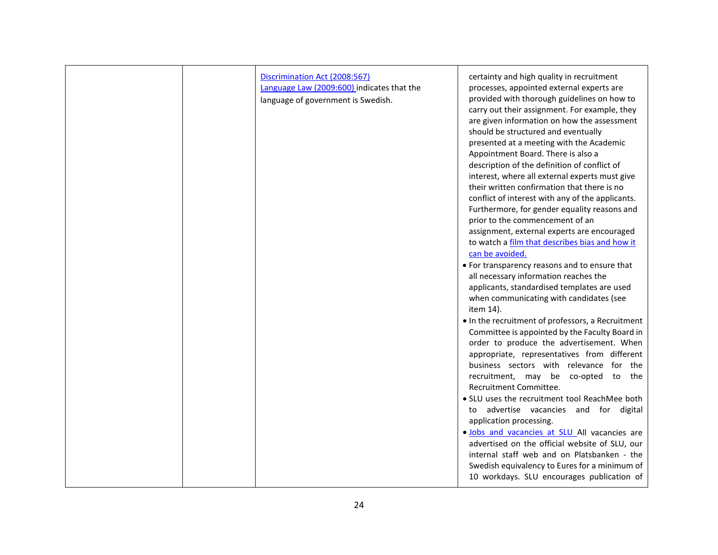| Discrimination Act (2008:567)<br>Language Law (2009:600) indicates that the<br>language of government is Swedish. | certainty and high quality in recruitment<br>processes, appointed external experts are<br>provided with thorough guidelines on how to<br>carry out their assignment. For example, they<br>are given information on how the assessment<br>should be structured and eventually<br>presented at a meeting with the Academic<br>Appointment Board. There is also a<br>description of the definition of conflict of<br>interest, where all external experts must give<br>their written confirmation that there is no<br>conflict of interest with any of the applicants.<br>Furthermore, for gender equality reasons and<br>prior to the commencement of an<br>assignment, external experts are encouraged<br>to watch a film that describes bias and how it<br>can be avoided.<br>• For transparency reasons and to ensure that<br>all necessary information reaches the<br>applicants, standardised templates are used<br>when communicating with candidates (see<br>item 14).<br>• In the recruitment of professors, a Recruitment<br>Committee is appointed by the Faculty Board in<br>order to produce the advertisement. When<br>appropriate, representatives from different<br>business sectors with relevance for the<br>recruitment, may be co-opted to the<br>Recruitment Committee.<br>. SLU uses the recruitment tool ReachMee both<br>advertise vacancies and for digital<br>to<br>application processing.<br>· Jobs and vacancies at SLU All vacancies are<br>advertised on the official website of SLU, our<br>internal staff web and on Platsbanken - the<br>Swedish equivalency to Eures for a minimum of |
|-------------------------------------------------------------------------------------------------------------------|-----------------------------------------------------------------------------------------------------------------------------------------------------------------------------------------------------------------------------------------------------------------------------------------------------------------------------------------------------------------------------------------------------------------------------------------------------------------------------------------------------------------------------------------------------------------------------------------------------------------------------------------------------------------------------------------------------------------------------------------------------------------------------------------------------------------------------------------------------------------------------------------------------------------------------------------------------------------------------------------------------------------------------------------------------------------------------------------------------------------------------------------------------------------------------------------------------------------------------------------------------------------------------------------------------------------------------------------------------------------------------------------------------------------------------------------------------------------------------------------------------------------------------------------------------------------------------------------------------------------------|
|                                                                                                                   | 10 workdays. SLU encourages publication of                                                                                                                                                                                                                                                                                                                                                                                                                                                                                                                                                                                                                                                                                                                                                                                                                                                                                                                                                                                                                                                                                                                                                                                                                                                                                                                                                                                                                                                                                                                                                                            |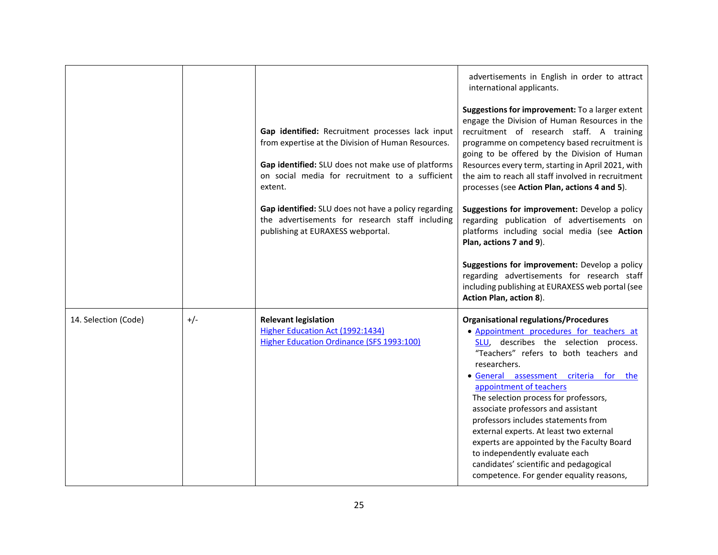|                      |       | Gap identified: Recruitment processes lack input<br>from expertise at the Division of Human Resources.<br>Gap identified: SLU does not make use of platforms<br>on social media for recruitment to a sufficient<br>extent.<br>Gap identified: SLU does not have a policy regarding<br>the advertisements for research staff including<br>publishing at EURAXESS webportal. | advertisements in English in order to attract<br>international applicants.<br>Suggestions for improvement: To a larger extent<br>engage the Division of Human Resources in the<br>recruitment of research staff. A training<br>programme on competency based recruitment is<br>going to be offered by the Division of Human<br>Resources every term, starting in April 2021, with<br>the aim to reach all staff involved in recruitment<br>processes (see Action Plan, actions 4 and 5).<br>Suggestions for improvement: Develop a policy<br>regarding publication of advertisements on<br>platforms including social media (see Action |
|----------------------|-------|----------------------------------------------------------------------------------------------------------------------------------------------------------------------------------------------------------------------------------------------------------------------------------------------------------------------------------------------------------------------------|-----------------------------------------------------------------------------------------------------------------------------------------------------------------------------------------------------------------------------------------------------------------------------------------------------------------------------------------------------------------------------------------------------------------------------------------------------------------------------------------------------------------------------------------------------------------------------------------------------------------------------------------|
|                      |       |                                                                                                                                                                                                                                                                                                                                                                            | Plan, actions 7 and 9).<br>Suggestions for improvement: Develop a policy<br>regarding advertisements for research staff<br>including publishing at EURAXESS web portal (see<br>Action Plan, action 8).                                                                                                                                                                                                                                                                                                                                                                                                                                  |
| 14. Selection (Code) | $+/-$ | <b>Relevant legislation</b><br>Higher Education Act (1992:1434)<br>Higher Education Ordinance (SFS 1993:100)                                                                                                                                                                                                                                                               | <b>Organisational regulations/Procedures</b><br>• Appointment procedures for teachers at<br>SLU, describes the selection process.<br>"Teachers" refers to both teachers and<br>researchers.<br>· General assessment criteria for the<br>appointment of teachers<br>The selection process for professors,<br>associate professors and assistant<br>professors includes statements from<br>external experts. At least two external<br>experts are appointed by the Faculty Board<br>to independently evaluate each<br>candidates' scientific and pedagogical<br>competence. For gender equality reasons,                                  |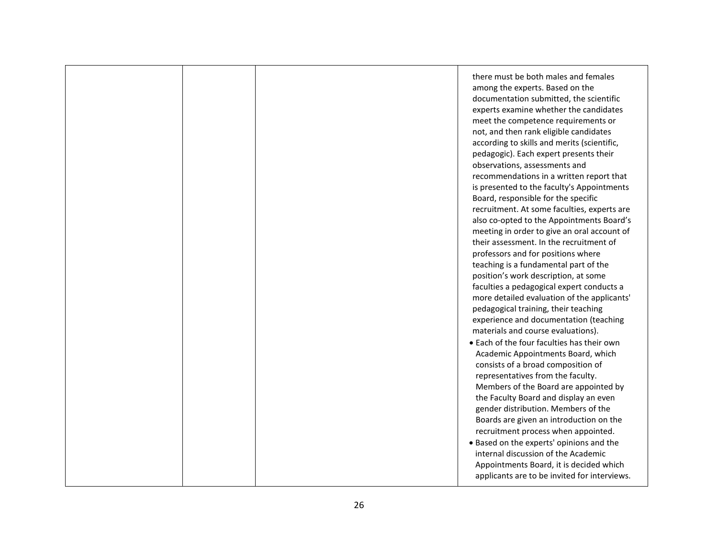|  | there must be both males and females<br>among the experts. Based on the<br>documentation submitted, the scientific<br>experts examine whether the candidates<br>meet the competence requirements or<br>not, and then rank eligible candidates<br>according to skills and merits (scientific,<br>pedagogic). Each expert presents their<br>observations, assessments and<br>recommendations in a written report that<br>is presented to the faculty's Appointments<br>Board, responsible for the specific<br>recruitment. At some faculties, experts are<br>also co-opted to the Appointments Board's<br>meeting in order to give an oral account of<br>their assessment. In the recruitment of<br>professors and for positions where<br>teaching is a fundamental part of the<br>position's work description, at some<br>faculties a pedagogical expert conducts a<br>more detailed evaluation of the applicants'<br>pedagogical training, their teaching<br>experience and documentation (teaching<br>materials and course evaluations).<br>• Each of the four faculties has their own<br>Academic Appointments Board, which<br>consists of a broad composition of<br>representatives from the faculty.<br>Members of the Board are appointed by<br>the Faculty Board and display an even<br>gender distribution. Members of the<br>Boards are given an introduction on the<br>recruitment process when appointed.<br>. Based on the experts' opinions and the |
|--|-----------------------------------------------------------------------------------------------------------------------------------------------------------------------------------------------------------------------------------------------------------------------------------------------------------------------------------------------------------------------------------------------------------------------------------------------------------------------------------------------------------------------------------------------------------------------------------------------------------------------------------------------------------------------------------------------------------------------------------------------------------------------------------------------------------------------------------------------------------------------------------------------------------------------------------------------------------------------------------------------------------------------------------------------------------------------------------------------------------------------------------------------------------------------------------------------------------------------------------------------------------------------------------------------------------------------------------------------------------------------------------------------------------------------------------------------------------------|
|  | internal discussion of the Academic<br>Appointments Board, it is decided which<br>applicants are to be invited for interviews.                                                                                                                                                                                                                                                                                                                                                                                                                                                                                                                                                                                                                                                                                                                                                                                                                                                                                                                                                                                                                                                                                                                                                                                                                                                                                                                                  |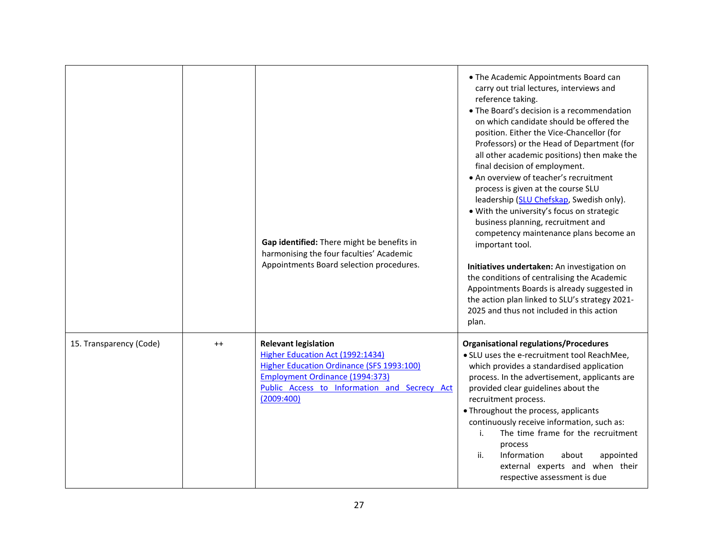|                         |      | Gap identified: There might be benefits in<br>harmonising the four faculties' Academic<br>Appointments Board selection procedures.                                                                                          | • The Academic Appointments Board can<br>carry out trial lectures, interviews and<br>reference taking.<br>• The Board's decision is a recommendation<br>on which candidate should be offered the<br>position. Either the Vice-Chancellor (for<br>Professors) or the Head of Department (for<br>all other academic positions) then make the<br>final decision of employment.<br>• An overview of teacher's recruitment<br>process is given at the course SLU<br>leadership (SLU Chefskap, Swedish only).<br>. With the university's focus on strategic<br>business planning, recruitment and<br>competency maintenance plans become an<br>important tool.<br>Initiatives undertaken: An investigation on<br>the conditions of centralising the Academic<br>Appointments Boards is already suggested in<br>the action plan linked to SLU's strategy 2021-<br>2025 and thus not included in this action<br>plan. |
|-------------------------|------|-----------------------------------------------------------------------------------------------------------------------------------------------------------------------------------------------------------------------------|---------------------------------------------------------------------------------------------------------------------------------------------------------------------------------------------------------------------------------------------------------------------------------------------------------------------------------------------------------------------------------------------------------------------------------------------------------------------------------------------------------------------------------------------------------------------------------------------------------------------------------------------------------------------------------------------------------------------------------------------------------------------------------------------------------------------------------------------------------------------------------------------------------------|
| 15. Transparency (Code) | $++$ | <b>Relevant legislation</b><br>Higher Education Act (1992:1434)<br><b>Higher Education Ordinance (SFS 1993:100)</b><br><b>Employment Ordinance (1994:373)</b><br>Public Access to Information and Secrecy Act<br>(2009:400) | <b>Organisational regulations/Procedures</b><br>. SLU uses the e-recruitment tool ReachMee,<br>which provides a standardised application<br>process. In the advertisement, applicants are<br>provided clear guidelines about the<br>recruitment process.<br>• Throughout the process, applicants<br>continuously receive information, such as:<br>The time frame for the recruitment<br>i.<br>process<br>ii.<br>Information<br>about<br>appointed<br>external experts and when their<br>respective assessment is due                                                                                                                                                                                                                                                                                                                                                                                          |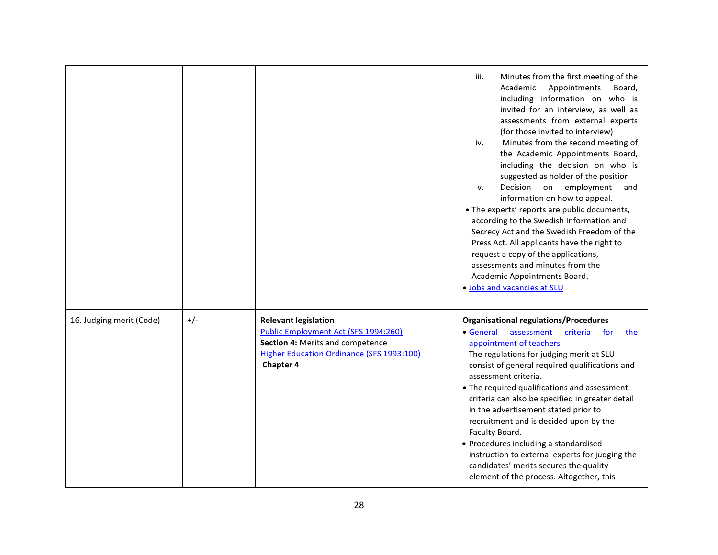|                          |       |                                                                                                                                                                          | Minutes from the first meeting of the<br>iii.<br>Appointments<br>Academic<br>Board,<br>including information on who is<br>invited for an interview, as well as<br>assessments from external experts<br>(for those invited to interview)<br>Minutes from the second meeting of<br>iv.<br>the Academic Appointments Board,<br>including the decision on who is<br>suggested as holder of the position<br>Decision on employment<br>v.<br>and<br>information on how to appeal.<br>• The experts' reports are public documents,<br>according to the Swedish Information and<br>Secrecy Act and the Swedish Freedom of the<br>Press Act. All applicants have the right to<br>request a copy of the applications,<br>assessments and minutes from the<br>Academic Appointments Board.<br>. Jobs and vacancies at SLU |
|--------------------------|-------|--------------------------------------------------------------------------------------------------------------------------------------------------------------------------|----------------------------------------------------------------------------------------------------------------------------------------------------------------------------------------------------------------------------------------------------------------------------------------------------------------------------------------------------------------------------------------------------------------------------------------------------------------------------------------------------------------------------------------------------------------------------------------------------------------------------------------------------------------------------------------------------------------------------------------------------------------------------------------------------------------|
| 16. Judging merit (Code) | $+/-$ | <b>Relevant legislation</b><br>Public Employment Act (SFS 1994:260)<br>Section 4: Merits and competence<br><b>Higher Education Ordinance (SFS 1993:100)</b><br>Chapter 4 | <b>Organisational regulations/Procedures</b><br>· General assessment criteria for<br>the<br>appointment of teachers<br>The regulations for judging merit at SLU<br>consist of general required qualifications and<br>assessment criteria.<br>• The required qualifications and assessment<br>criteria can also be specified in greater detail<br>in the advertisement stated prior to<br>recruitment and is decided upon by the<br>Faculty Board.<br>• Procedures including a standardised<br>instruction to external experts for judging the<br>candidates' merits secures the quality<br>element of the process. Altogether, this                                                                                                                                                                            |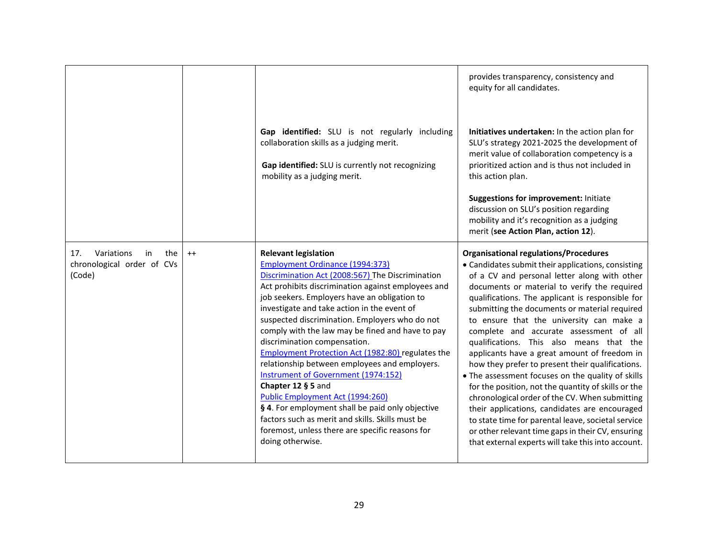|                                                                        |      | Gap identified: SLU is not regularly including<br>collaboration skills as a judging merit.<br>Gap identified: SLU is currently not recognizing<br>mobility as a judging merit.                                                                                                                                                                                                                                                                                                                                                                                                                                                                                                                                                                                                                                           | provides transparency, consistency and<br>equity for all candidates.<br>Initiatives undertaken: In the action plan for<br>SLU's strategy 2021-2025 the development of<br>merit value of collaboration competency is a<br>prioritized action and is thus not included in<br>this action plan.<br><b>Suggestions for improvement: Initiate</b><br>discussion on SLU's position regarding<br>mobility and it's recognition as a judging<br>merit (see Action Plan, action 12).                                                                                                                                                                                                                                                                                                                                                                                                                                                    |
|------------------------------------------------------------------------|------|--------------------------------------------------------------------------------------------------------------------------------------------------------------------------------------------------------------------------------------------------------------------------------------------------------------------------------------------------------------------------------------------------------------------------------------------------------------------------------------------------------------------------------------------------------------------------------------------------------------------------------------------------------------------------------------------------------------------------------------------------------------------------------------------------------------------------|--------------------------------------------------------------------------------------------------------------------------------------------------------------------------------------------------------------------------------------------------------------------------------------------------------------------------------------------------------------------------------------------------------------------------------------------------------------------------------------------------------------------------------------------------------------------------------------------------------------------------------------------------------------------------------------------------------------------------------------------------------------------------------------------------------------------------------------------------------------------------------------------------------------------------------|
| Variations<br>17.<br>in<br>the<br>chronological order of CVs<br>(Code) | $++$ | <b>Relevant legislation</b><br><b>Employment Ordinance (1994:373)</b><br>Discrimination Act (2008:567) The Discrimination<br>Act prohibits discrimination against employees and<br>job seekers. Employers have an obligation to<br>investigate and take action in the event of<br>suspected discrimination. Employers who do not<br>comply with the law may be fined and have to pay<br>discrimination compensation.<br><b>Employment Protection Act (1982:80)</b> regulates the<br>relationship between employees and employers.<br><b>Instrument of Government (1974:152)</b><br>Chapter 12 § 5 and<br>Public Employment Act (1994:260)<br>§ 4. For employment shall be paid only objective<br>factors such as merit and skills. Skills must be<br>foremost, unless there are specific reasons for<br>doing otherwise. | <b>Organisational regulations/Procedures</b><br>• Candidates submit their applications, consisting<br>of a CV and personal letter along with other<br>documents or material to verify the required<br>qualifications. The applicant is responsible for<br>submitting the documents or material required<br>to ensure that the university can make a<br>complete and accurate assessment of all<br>qualifications. This also means that the<br>applicants have a great amount of freedom in<br>how they prefer to present their qualifications.<br>• The assessment focuses on the quality of skills<br>for the position, not the quantity of skills or the<br>chronological order of the CV. When submitting<br>their applications, candidates are encouraged<br>to state time for parental leave, societal service<br>or other relevant time gaps in their CV, ensuring<br>that external experts will take this into account. |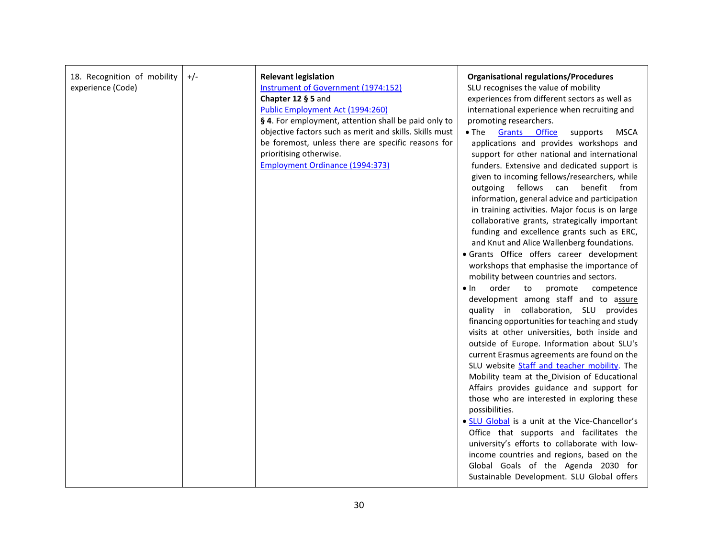| 18. Recognition of mobility<br>experience (Code) | $+/-$ | <b>Relevant legislation</b><br>Instrument of Government (1974:152)<br>Chapter 12 § 5 and<br>Public Employment Act (1994:260)<br>§ 4. For employment, attention shall be paid only to<br>objective factors such as merit and skills. Skills must<br>be foremost, unless there are specific reasons for<br>prioritising otherwise.<br><b>Employment Ordinance (1994:373)</b> | <b>Organisational regulations/Procedures</b><br>SLU recognises the value of mobility<br>experiences from different sectors as well as<br>international experience when recruiting and<br>promoting researchers.<br>$\bullet$ The<br>Grants Office<br>MSCA<br>supports<br>applications and provides workshops and<br>support for other national and international<br>funders. Extensive and dedicated support is<br>given to incoming fellows/researchers, while<br>outgoing fellows can<br>benefit from<br>information, general advice and participation<br>in training activities. Major focus is on large<br>collaborative grants, strategically important<br>funding and excellence grants such as ERC,<br>and Knut and Alice Wallenberg foundations.<br>· Grants Office offers career development<br>workshops that emphasise the importance of<br>mobility between countries and sectors.<br>order<br>to<br>$\bullet$ In<br>promote<br>competence<br>development among staff and to assure<br>quality in collaboration, SLU provides<br>financing opportunities for teaching and study<br>visits at other universities, both inside and<br>outside of Europe. Information about SLU's<br>current Erasmus agreements are found on the<br>SLU website Staff and teacher mobility. The<br>Mobility team at the Division of Educational<br>Affairs provides guidance and support for<br>those who are interested in exploring these<br>possibilities.<br>. SLU Global is a unit at the Vice-Chancellor's<br>Office that supports and facilitates the<br>university's efforts to collaborate with low-<br>income countries and regions, based on the |
|--------------------------------------------------|-------|----------------------------------------------------------------------------------------------------------------------------------------------------------------------------------------------------------------------------------------------------------------------------------------------------------------------------------------------------------------------------|------------------------------------------------------------------------------------------------------------------------------------------------------------------------------------------------------------------------------------------------------------------------------------------------------------------------------------------------------------------------------------------------------------------------------------------------------------------------------------------------------------------------------------------------------------------------------------------------------------------------------------------------------------------------------------------------------------------------------------------------------------------------------------------------------------------------------------------------------------------------------------------------------------------------------------------------------------------------------------------------------------------------------------------------------------------------------------------------------------------------------------------------------------------------------------------------------------------------------------------------------------------------------------------------------------------------------------------------------------------------------------------------------------------------------------------------------------------------------------------------------------------------------------------------------------------------------------------------------------------------------------------------------|
|                                                  |       |                                                                                                                                                                                                                                                                                                                                                                            | Global Goals of the Agenda 2030 for<br>Sustainable Development. SLU Global offers                                                                                                                                                                                                                                                                                                                                                                                                                                                                                                                                                                                                                                                                                                                                                                                                                                                                                                                                                                                                                                                                                                                                                                                                                                                                                                                                                                                                                                                                                                                                                                    |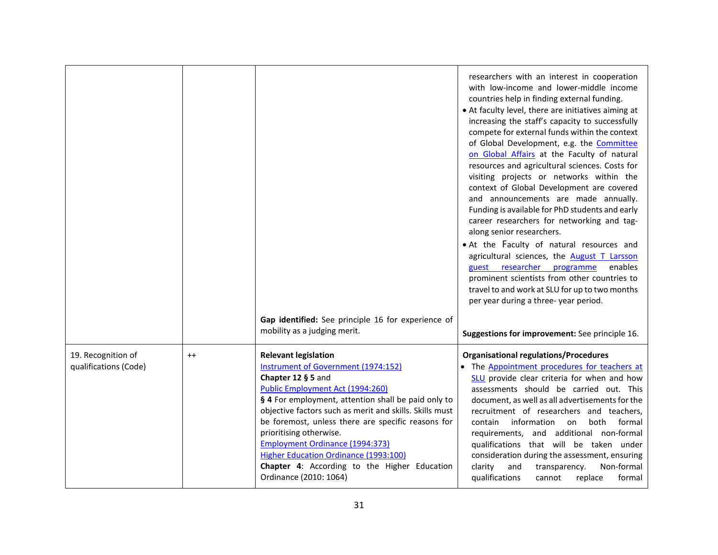|                                             |      |                                                                                                                                                                                                                                                                                                                                                                                                                                                                                              | researchers with an interest in cooperation<br>with low-income and lower-middle income<br>countries help in finding external funding.<br>• At faculty level, there are initiatives aiming at<br>increasing the staff's capacity to successfully<br>compete for external funds within the context<br>of Global Development, e.g. the Committee<br>on Global Affairs at the Faculty of natural<br>resources and agricultural sciences. Costs for<br>visiting projects or networks within the<br>context of Global Development are covered<br>and announcements are made annually.<br>Funding is available for PhD students and early<br>career researchers for networking and tag-<br>along senior researchers.<br>• At the Faculty of natural resources and<br>agricultural sciences, the August T Larsson<br>enables<br>guest researcher<br>programme<br>prominent scientists from other countries to<br>travel to and work at SLU for up to two months<br>per year during a three-year period. |
|---------------------------------------------|------|----------------------------------------------------------------------------------------------------------------------------------------------------------------------------------------------------------------------------------------------------------------------------------------------------------------------------------------------------------------------------------------------------------------------------------------------------------------------------------------------|-------------------------------------------------------------------------------------------------------------------------------------------------------------------------------------------------------------------------------------------------------------------------------------------------------------------------------------------------------------------------------------------------------------------------------------------------------------------------------------------------------------------------------------------------------------------------------------------------------------------------------------------------------------------------------------------------------------------------------------------------------------------------------------------------------------------------------------------------------------------------------------------------------------------------------------------------------------------------------------------------|
|                                             |      | Gap identified: See principle 16 for experience of<br>mobility as a judging merit.                                                                                                                                                                                                                                                                                                                                                                                                           | Suggestions for improvement: See principle 16.                                                                                                                                                                                                                                                                                                                                                                                                                                                                                                                                                                                                                                                                                                                                                                                                                                                                                                                                                  |
| 19. Recognition of<br>qualifications (Code) | $++$ | <b>Relevant legislation</b><br>Instrument of Government (1974:152)<br>Chapter 12 § 5 and<br>Public Employment Act (1994:260)<br>§ 4 For employment, attention shall be paid only to<br>objective factors such as merit and skills. Skills must<br>be foremost, unless there are specific reasons for<br>prioritising otherwise.<br><b>Employment Ordinance (1994:373)</b><br>Higher Education Ordinance (1993:100)<br>Chapter 4: According to the Higher Education<br>Ordinance (2010: 1064) | <b>Organisational regulations/Procedures</b><br>• The Appointment procedures for teachers at<br>SLU provide clear criteria for when and how<br>assessments should be carried out. This<br>document, as well as all advertisements for the<br>recruitment of researchers and teachers,<br>information<br>formal<br>contain<br>on<br>both<br>requirements, and additional non-formal<br>qualifications that will be taken under<br>consideration during the assessment, ensuring<br>Non-formal<br>clarity<br>transparency.<br>and<br>qualifications<br>formal<br>replace<br>cannot                                                                                                                                                                                                                                                                                                                                                                                                                |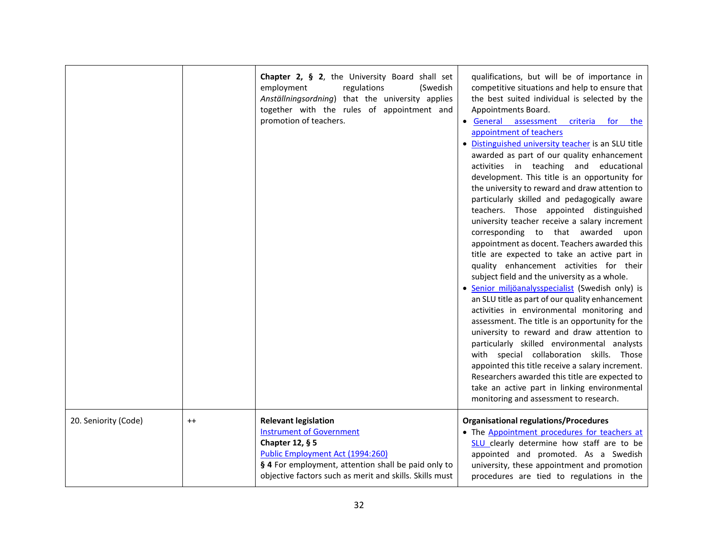|                      |         | Chapter 2, § 2, the University Board shall set<br>regulations<br>(Swedish<br>employment<br>Anställningsordning) that the university applies<br>together with the rules of appointment and<br>promotion of teachers.                     | qualifications, but will be of importance in<br>competitive situations and help to ensure that<br>the best suited individual is selected by the<br>Appointments Board.<br>• General assessment criteria for the<br>appointment of teachers<br>· Distinguished university teacher is an SLU title<br>awarded as part of our quality enhancement<br>activities in teaching and educational<br>development. This title is an opportunity for<br>the university to reward and draw attention to<br>particularly skilled and pedagogically aware<br>teachers. Those appointed distinguished<br>university teacher receive a salary increment<br>corresponding to that awarded<br>upon<br>appointment as docent. Teachers awarded this<br>title are expected to take an active part in<br>quality enhancement activities for their<br>subject field and the university as a whole.<br>· Senior miljöanalysspecialist (Swedish only) is<br>an SLU title as part of our quality enhancement<br>activities in environmental monitoring and<br>assessment. The title is an opportunity for the<br>university to reward and draw attention to<br>particularly skilled environmental analysts<br>with special collaboration skills. Those<br>appointed this title receive a salary increment.<br>Researchers awarded this title are expected to<br>take an active part in linking environmental<br>monitoring and assessment to research. |
|----------------------|---------|-----------------------------------------------------------------------------------------------------------------------------------------------------------------------------------------------------------------------------------------|-------------------------------------------------------------------------------------------------------------------------------------------------------------------------------------------------------------------------------------------------------------------------------------------------------------------------------------------------------------------------------------------------------------------------------------------------------------------------------------------------------------------------------------------------------------------------------------------------------------------------------------------------------------------------------------------------------------------------------------------------------------------------------------------------------------------------------------------------------------------------------------------------------------------------------------------------------------------------------------------------------------------------------------------------------------------------------------------------------------------------------------------------------------------------------------------------------------------------------------------------------------------------------------------------------------------------------------------------------------------------------------------------------------------------------|
| 20. Seniority (Code) | $^{++}$ | <b>Relevant legislation</b><br><b>Instrument of Government</b><br>Chapter 12, § 5<br>Public Employment Act (1994:260)<br>§ 4 For employment, attention shall be paid only to<br>objective factors such as merit and skills. Skills must | <b>Organisational regulations/Procedures</b><br>• The Appointment procedures for teachers at<br>SLU clearly determine how staff are to be<br>appointed and promoted. As a Swedish<br>university, these appointment and promotion<br>procedures are tied to regulations in the                                                                                                                                                                                                                                                                                                                                                                                                                                                                                                                                                                                                                                                                                                                                                                                                                                                                                                                                                                                                                                                                                                                                                 |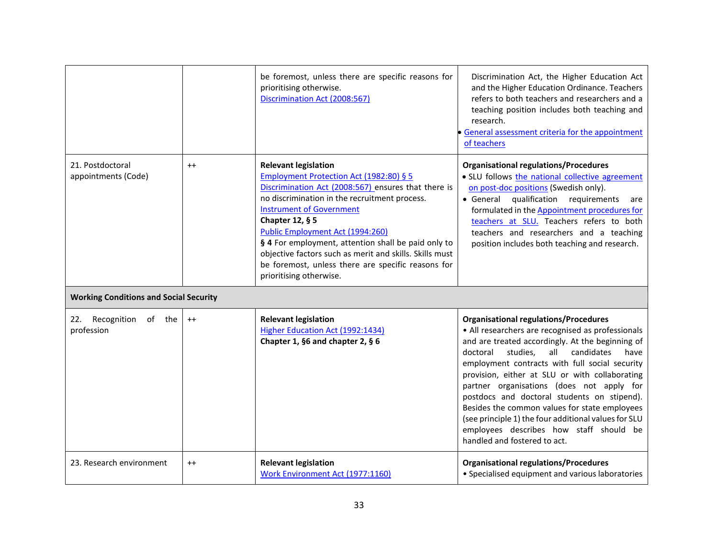|                                               |         | be foremost, unless there are specific reasons for<br>prioritising otherwise.<br>Discrimination Act (2008:567)                                                                                                                                                                                                                                                                                                                                                              | Discrimination Act, the Higher Education Act<br>and the Higher Education Ordinance. Teachers<br>refers to both teachers and researchers and a<br>teaching position includes both teaching and<br>research.<br>General assessment criteria for the appointment<br>of teachers                                                                                                                                                                                                                                                                                                                   |
|-----------------------------------------------|---------|-----------------------------------------------------------------------------------------------------------------------------------------------------------------------------------------------------------------------------------------------------------------------------------------------------------------------------------------------------------------------------------------------------------------------------------------------------------------------------|------------------------------------------------------------------------------------------------------------------------------------------------------------------------------------------------------------------------------------------------------------------------------------------------------------------------------------------------------------------------------------------------------------------------------------------------------------------------------------------------------------------------------------------------------------------------------------------------|
| 21. Postdoctoral<br>appointments (Code)       | $^{++}$ | <b>Relevant legislation</b><br>Employment Protection Act (1982:80) § 5<br>Discrimination Act (2008:567) ensures that there is<br>no discrimination in the recruitment process.<br><b>Instrument of Government</b><br>Chapter 12, § 5<br>Public Employment Act (1994:260)<br>§ 4 For employment, attention shall be paid only to<br>objective factors such as merit and skills. Skills must<br>be foremost, unless there are specific reasons for<br>prioritising otherwise. | <b>Organisational regulations/Procedures</b><br>· SLU follows the national collective agreement<br>on post-doc positions (Swedish only).<br>qualification requirements<br>• General<br>are<br>formulated in the Appointment procedures for<br>teachers at SLU. Teachers refers to both<br>teachers and researchers and a teaching<br>position includes both teaching and research.                                                                                                                                                                                                             |
| <b>Working Conditions and Social Security</b> |         |                                                                                                                                                                                                                                                                                                                                                                                                                                                                             |                                                                                                                                                                                                                                                                                                                                                                                                                                                                                                                                                                                                |
| Recognition of the<br>22.<br>profession       | $++$    | <b>Relevant legislation</b><br>Higher Education Act (1992:1434)<br>Chapter 1, §6 and chapter 2, § 6                                                                                                                                                                                                                                                                                                                                                                         | <b>Organisational regulations/Procedures</b><br>• All researchers are recognised as professionals<br>and are treated accordingly. At the beginning of<br>doctoral<br>studies,<br>all<br>candidates<br>have<br>employment contracts with full social security<br>provision, either at SLU or with collaborating<br>partner organisations (does not apply for<br>postdocs and doctoral students on stipend).<br>Besides the common values for state employees<br>(see principle 1) the four additional values for SLU<br>employees describes how staff should be<br>handled and fostered to act. |
| 23. Research environment                      | $^{++}$ | <b>Relevant legislation</b><br>Work Environment Act (1977:1160)                                                                                                                                                                                                                                                                                                                                                                                                             | <b>Organisational regulations/Procedures</b><br>• Specialised equipment and various laboratories                                                                                                                                                                                                                                                                                                                                                                                                                                                                                               |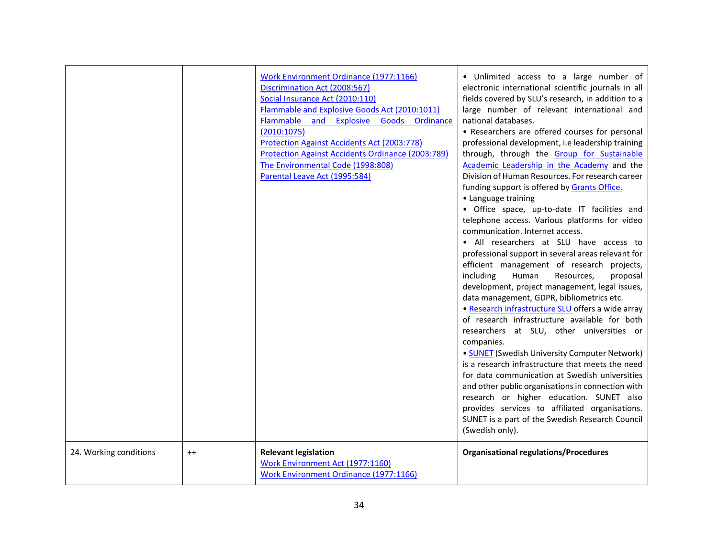|                        |         | <b>Work Environment Ordinance (1977:1166)</b><br>Discrimination Act (2008:567)<br>Social Insurance Act (2010:110)<br>Flammable and Explosive Goods Act (2010:1011)<br>Flammable and Explosive Goods Ordinance<br>(2010:1075)<br><b>Protection Against Accidents Act (2003:778)</b><br><b>Protection Against Accidents Ordinance (2003:789)</b><br>The Environmental Code (1998:808)<br>Parental Leave Act (1995:584) | · Unlimited access to a large number of<br>electronic international scientific journals in all<br>fields covered by SLU's research, in addition to a<br>large number of relevant international and<br>national databases.<br>• Researchers are offered courses for personal<br>professional development, i.e leadership training<br>through, through the Group for Sustainable<br>Academic Leadership in the Academy and the<br>Division of Human Resources. For research career<br>funding support is offered by Grants Office.<br>• Language training<br>• Office space, up-to-date IT facilities and<br>telephone access. Various platforms for video<br>communication. Internet access.<br>• All researchers at SLU have access to<br>professional support in several areas relevant for<br>efficient management of research projects,<br>including<br>Human<br>Resources,<br>proposal<br>development, project management, legal issues,<br>data management, GDPR, bibliometrics etc.<br>· Research infrastructure SLU offers a wide array<br>of research infrastructure available for both<br>researchers at SLU, other universities or<br>companies.<br>• <b>SUNET</b> (Swedish University Computer Network)<br>is a research infrastructure that meets the need<br>for data communication at Swedish universities<br>and other public organisations in connection with<br>research or higher education. SUNET also<br>provides services to affiliated organisations.<br>SUNET is a part of the Swedish Research Council<br>(Swedish only). |
|------------------------|---------|----------------------------------------------------------------------------------------------------------------------------------------------------------------------------------------------------------------------------------------------------------------------------------------------------------------------------------------------------------------------------------------------------------------------|---------------------------------------------------------------------------------------------------------------------------------------------------------------------------------------------------------------------------------------------------------------------------------------------------------------------------------------------------------------------------------------------------------------------------------------------------------------------------------------------------------------------------------------------------------------------------------------------------------------------------------------------------------------------------------------------------------------------------------------------------------------------------------------------------------------------------------------------------------------------------------------------------------------------------------------------------------------------------------------------------------------------------------------------------------------------------------------------------------------------------------------------------------------------------------------------------------------------------------------------------------------------------------------------------------------------------------------------------------------------------------------------------------------------------------------------------------------------------------------------------------------------------------------------------|
| 24. Working conditions | $^{++}$ | <b>Relevant legislation</b><br>Work Environment Act (1977:1160)<br><b>Work Environment Ordinance (1977:1166)</b>                                                                                                                                                                                                                                                                                                     | <b>Organisational regulations/Procedures</b>                                                                                                                                                                                                                                                                                                                                                                                                                                                                                                                                                                                                                                                                                                                                                                                                                                                                                                                                                                                                                                                                                                                                                                                                                                                                                                                                                                                                                                                                                                      |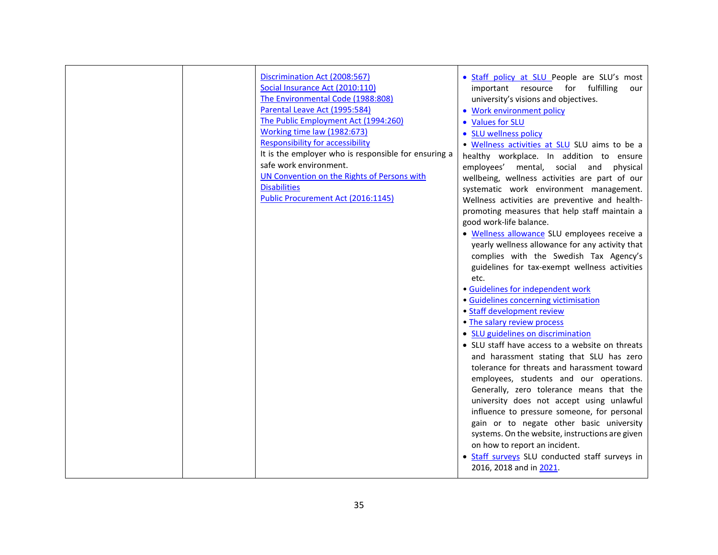|  | Discrimination Act (2008:567)<br>Social Insurance Act (2010:110)<br>The Environmental Code (1988:808)<br>Parental Leave Act (1995:584)<br>The Public Employment Act (1994:260)<br>Working time law (1982:673)<br><b>Responsibility for accessibility</b><br>It is the employer who is responsible for ensuring a<br>safe work environment.<br>UN Convention on the Rights of Persons with<br><b>Disabilities</b><br>Public Procurement Act (2016:1145) | . Staff policy at SLU People are SLU's most<br>important resource for fulfilling<br>our<br>university's visions and objectives.<br>• Work environment policy<br>• Values for SLU<br>• SLU wellness policy<br>. Wellness activities at SLU SLU aims to be a<br>healthy workplace. In addition to ensure<br>mental, social and<br>employees'<br>physical<br>wellbeing, wellness activities are part of our<br>systematic work environment management.<br>Wellness activities are preventive and health-<br>promoting measures that help staff maintain a<br>good work-life balance.<br>· Wellness allowance SLU employees receive a<br>yearly wellness allowance for any activity that<br>complies with the Swedish Tax Agency's<br>guidelines for tax-exempt wellness activities<br>etc.<br>· Guidelines for independent work<br>· Guidelines concerning victimisation<br>• Staff development review<br>• The salary review process<br>• SLU guidelines on discrimination<br>• SLU staff have access to a website on threats<br>and harassment stating that SLU has zero<br>tolerance for threats and harassment toward<br>employees, students and our operations.<br>Generally, zero tolerance means that the<br>university does not accept using unlawful<br>influence to pressure someone, for personal<br>gain or to negate other basic university<br>systems. On the website, instructions are given<br>on how to report an incident.<br>• Staff surveys SLU conducted staff surveys in |
|--|--------------------------------------------------------------------------------------------------------------------------------------------------------------------------------------------------------------------------------------------------------------------------------------------------------------------------------------------------------------------------------------------------------------------------------------------------------|---------------------------------------------------------------------------------------------------------------------------------------------------------------------------------------------------------------------------------------------------------------------------------------------------------------------------------------------------------------------------------------------------------------------------------------------------------------------------------------------------------------------------------------------------------------------------------------------------------------------------------------------------------------------------------------------------------------------------------------------------------------------------------------------------------------------------------------------------------------------------------------------------------------------------------------------------------------------------------------------------------------------------------------------------------------------------------------------------------------------------------------------------------------------------------------------------------------------------------------------------------------------------------------------------------------------------------------------------------------------------------------------------------------------------------------------------------------------------------------------|
|  |                                                                                                                                                                                                                                                                                                                                                                                                                                                        | 2016, 2018 and in 2021.                                                                                                                                                                                                                                                                                                                                                                                                                                                                                                                                                                                                                                                                                                                                                                                                                                                                                                                                                                                                                                                                                                                                                                                                                                                                                                                                                                                                                                                                     |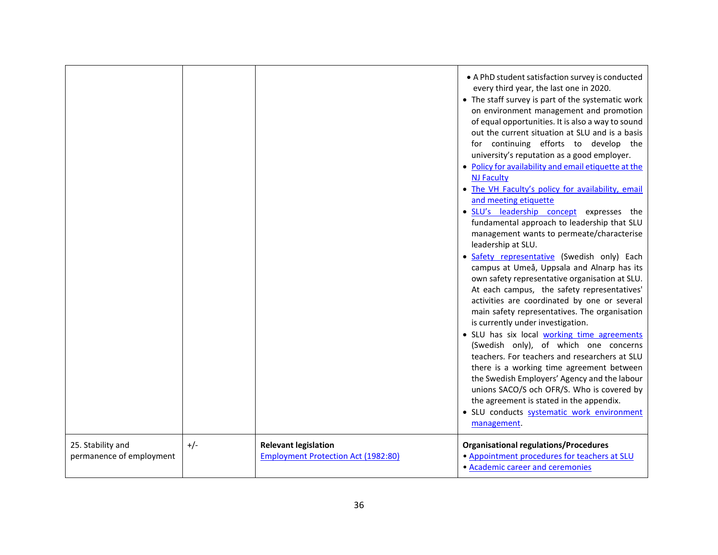|                                               |       |                                                                           | • A PhD student satisfaction survey is conducted<br>every third year, the last one in 2020.<br>• The staff survey is part of the systematic work<br>on environment management and promotion<br>of equal opportunities. It is also a way to sound<br>out the current situation at SLU and is a basis<br>for continuing efforts to develop the<br>university's reputation as a good employer.<br>• Policy for availability and email etiquette at the<br><b>NJ Faculty</b><br>. The VH Faculty's policy for availability, email<br>and meeting etiquette<br>· SLU's leadership concept expresses the<br>fundamental approach to leadership that SLU<br>management wants to permeate/characterise<br>leadership at SLU.<br>· Safety representative (Swedish only) Each<br>campus at Umeå, Uppsala and Alnarp has its<br>own safety representative organisation at SLU.<br>At each campus, the safety representatives'<br>activities are coordinated by one or several<br>main safety representatives. The organisation<br>is currently under investigation.<br>· SLU has six local working time agreements<br>(Swedish only), of which one concerns<br>teachers. For teachers and researchers at SLU<br>there is a working time agreement between<br>the Swedish Employers' Agency and the labour<br>unions SACO/S och OFR/S. Who is covered by<br>the agreement is stated in the appendix.<br>· SLU conducts systematic work environment |
|-----------------------------------------------|-------|---------------------------------------------------------------------------|----------------------------------------------------------------------------------------------------------------------------------------------------------------------------------------------------------------------------------------------------------------------------------------------------------------------------------------------------------------------------------------------------------------------------------------------------------------------------------------------------------------------------------------------------------------------------------------------------------------------------------------------------------------------------------------------------------------------------------------------------------------------------------------------------------------------------------------------------------------------------------------------------------------------------------------------------------------------------------------------------------------------------------------------------------------------------------------------------------------------------------------------------------------------------------------------------------------------------------------------------------------------------------------------------------------------------------------------------------------------------------------------------------------------------------------|
| 25. Stability and<br>permanence of employment | $+/-$ | <b>Relevant legislation</b><br><b>Employment Protection Act (1982:80)</b> | management.<br><b>Organisational regulations/Procedures</b><br>• Appointment procedures for teachers at SLU<br>• Academic career and ceremonies                                                                                                                                                                                                                                                                                                                                                                                                                                                                                                                                                                                                                                                                                                                                                                                                                                                                                                                                                                                                                                                                                                                                                                                                                                                                                        |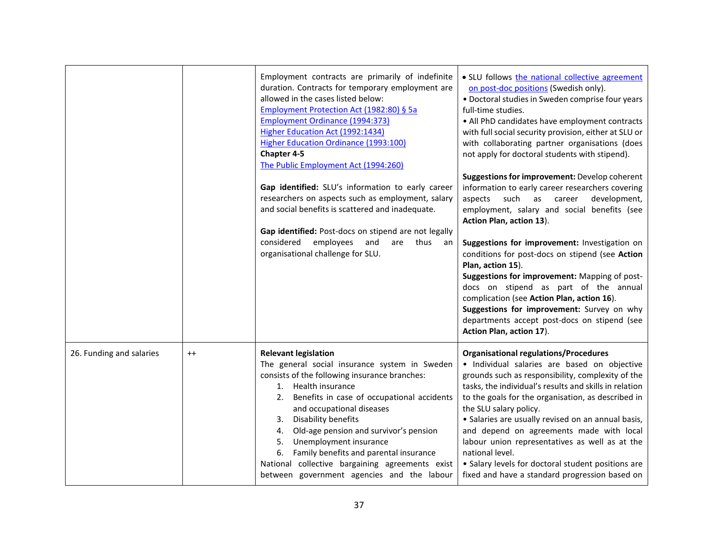|                          |         | Employment contracts are primarily of indefinite<br>duration. Contracts for temporary employment are<br>allowed in the cases listed below:<br>Employment Protection Act (1982:80) § 5a<br><b>Employment Ordinance (1994:373)</b><br>Higher Education Act (1992:1434)<br><b>Higher Education Ordinance (1993:100)</b><br>Chapter 4-5<br>The Public Employment Act (1994:260)<br>Gap identified: SLU's information to early career<br>researchers on aspects such as employment, salary<br>and social benefits is scattered and inadequate.<br>Gap identified: Post-docs on stipend are not legally<br>employees and<br>considered<br>are thus an<br>organisational challenge for SLU. | • SLU follows the national collective agreement<br>on post-doc positions (Swedish only).<br>• Doctoral studies in Sweden comprise four years<br>full-time studies.<br>• All PhD candidates have employment contracts<br>with full social security provision, either at SLU or<br>with collaborating partner organisations (does<br>not apply for doctoral students with stipend).<br>Suggestions for improvement: Develop coherent<br>information to early career researchers covering<br>such<br>aspects<br>as<br>career<br>development,<br>employment, salary and social benefits (see<br>Action Plan, action 13).<br>Suggestions for improvement: Investigation on<br>conditions for post-docs on stipend (see Action<br>Plan, action 15).<br>Suggestions for improvement: Mapping of post-<br>docs on stipend as part of the annual<br>complication (see Action Plan, action 16).<br>Suggestions for improvement: Survey on why<br>departments accept post-docs on stipend (see<br>Action Plan, action 17). |
|--------------------------|---------|--------------------------------------------------------------------------------------------------------------------------------------------------------------------------------------------------------------------------------------------------------------------------------------------------------------------------------------------------------------------------------------------------------------------------------------------------------------------------------------------------------------------------------------------------------------------------------------------------------------------------------------------------------------------------------------|-----------------------------------------------------------------------------------------------------------------------------------------------------------------------------------------------------------------------------------------------------------------------------------------------------------------------------------------------------------------------------------------------------------------------------------------------------------------------------------------------------------------------------------------------------------------------------------------------------------------------------------------------------------------------------------------------------------------------------------------------------------------------------------------------------------------------------------------------------------------------------------------------------------------------------------------------------------------------------------------------------------------|
| 26. Funding and salaries | $^{++}$ | <b>Relevant legislation</b><br>The general social insurance system in Sweden<br>consists of the following insurance branches:<br>1. Health insurance<br>Benefits in case of occupational accidents<br>2.<br>and occupational diseases<br>Disability benefits<br>3.<br>Old-age pension and survivor's pension<br>4.<br>Unemployment insurance<br>5.<br>Family benefits and parental insurance<br>6.<br>National collective bargaining agreements exist<br>between government agencies and the labour                                                                                                                                                                                  | <b>Organisational regulations/Procedures</b><br>· Individual salaries are based on objective<br>grounds such as responsibility, complexity of the<br>tasks, the individual's results and skills in relation<br>to the goals for the organisation, as described in<br>the SLU salary policy.<br>• Salaries are usually revised on an annual basis,<br>and depend on agreements made with local<br>labour union representatives as well as at the<br>national level.<br>• Salary levels for doctoral student positions are<br>fixed and have a standard progression based on                                                                                                                                                                                                                                                                                                                                                                                                                                      |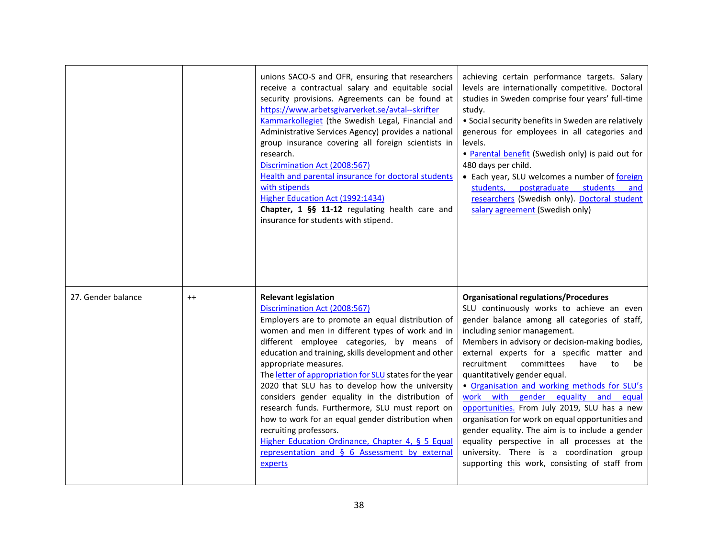|                    |         | unions SACO-S and OFR, ensuring that researchers<br>receive a contractual salary and equitable social<br>security provisions. Agreements can be found at<br>https://www.arbetsgivarverket.se/avtal--skrifter<br>Kammarkollegiet (the Swedish Legal, Financial and<br>Administrative Services Agency) provides a national<br>group insurance covering all foreign scientists in<br>research.<br>Discrimination Act (2008:567)<br>Health and parental insurance for doctoral students<br>with stipends<br>Higher Education Act (1992:1434)<br>Chapter, 1 §§ 11-12 regulating health care and<br>insurance for students with stipend.                                                                                      | achieving certain performance targets. Salary<br>levels are internationally competitive. Doctoral<br>studies in Sweden comprise four years' full-time<br>study.<br>• Social security benefits in Sweden are relatively<br>generous for employees in all categories and<br>levels.<br>• Parental benefit (Swedish only) is paid out for<br>480 days per child.<br>• Each year, SLU welcomes a number of foreign<br>students, postgraduate students<br>and<br>researchers (Swedish only). Doctoral student<br>salary agreement (Swedish only)                                                                                                                                                                                                              |
|--------------------|---------|-------------------------------------------------------------------------------------------------------------------------------------------------------------------------------------------------------------------------------------------------------------------------------------------------------------------------------------------------------------------------------------------------------------------------------------------------------------------------------------------------------------------------------------------------------------------------------------------------------------------------------------------------------------------------------------------------------------------------|----------------------------------------------------------------------------------------------------------------------------------------------------------------------------------------------------------------------------------------------------------------------------------------------------------------------------------------------------------------------------------------------------------------------------------------------------------------------------------------------------------------------------------------------------------------------------------------------------------------------------------------------------------------------------------------------------------------------------------------------------------|
| 27. Gender balance | $^{++}$ | <b>Relevant legislation</b><br>Discrimination Act (2008:567)<br>Employers are to promote an equal distribution of<br>women and men in different types of work and in<br>different employee categories, by means of<br>education and training, skills development and other<br>appropriate measures.<br>The letter of appropriation for SLU states for the year<br>2020 that SLU has to develop how the university<br>considers gender equality in the distribution of<br>research funds. Furthermore, SLU must report on<br>how to work for an equal gender distribution when<br>recruiting professors.<br>Higher Education Ordinance, Chapter 4, § 5 Equal<br>representation and § 6 Assessment by external<br>experts | <b>Organisational regulations/Procedures</b><br>SLU continuously works to achieve an even<br>gender balance among all categories of staff,<br>including senior management.<br>Members in advisory or decision-making bodies,<br>external experts for a specific matter and<br>recruitment<br>committees<br>have<br>to<br>be<br>quantitatively gender equal.<br>. Organisation and working methods for SLU's<br>work with gender equality and equal<br>opportunities. From July 2019, SLU has a new<br>organisation for work on equal opportunities and<br>gender equality. The aim is to include a gender<br>equality perspective in all processes at the<br>university. There is a coordination group<br>supporting this work, consisting of staff from |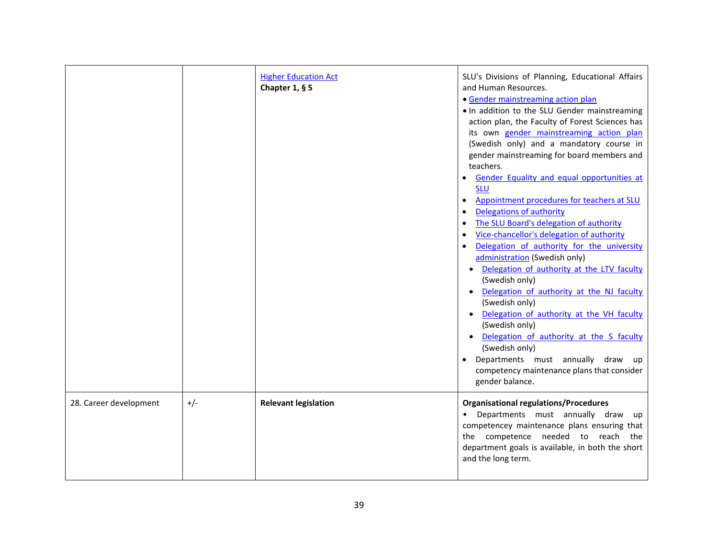|                        |       | <b>Higher Education Act</b><br>Chapter 1, $§$ 5 | SLU's Divisions of Planning, Educational Affairs<br>and Human Resources.<br>• Gender mainstreaming action plan<br>. In addition to the SLU Gender mainstreaming<br>action plan, the Faculty of Forest Sciences has<br>its own gender mainstreaming action plan<br>(Swedish only) and a mandatory course in<br>gender mainstreaming for board members and<br>teachers.<br>Gender Equality and equal opportunities at<br><b>SLU</b><br>Appointment procedures for teachers at SLU<br>Delegations of authority<br>The SLU Board's delegation of authority<br>Vice-chancellor's delegation of authority<br>Delegation of authority for the university<br>administration (Swedish only)<br>Delegation of authority at the LTV faculty<br>(Swedish only)<br>Delegation of authority at the NJ faculty<br>(Swedish only)<br>Delegation of authority at the VH faculty<br>(Swedish only)<br>Delegation of authority at the S faculty<br>(Swedish only)<br>Departments must annually draw up<br>competency maintenance plans that consider<br>gender balance. |
|------------------------|-------|-------------------------------------------------|------------------------------------------------------------------------------------------------------------------------------------------------------------------------------------------------------------------------------------------------------------------------------------------------------------------------------------------------------------------------------------------------------------------------------------------------------------------------------------------------------------------------------------------------------------------------------------------------------------------------------------------------------------------------------------------------------------------------------------------------------------------------------------------------------------------------------------------------------------------------------------------------------------------------------------------------------------------------------------------------------------------------------------------------------|
| 28. Career development | $+/-$ | <b>Relevant legislation</b>                     | <b>Organisational regulations/Procedures</b><br>• Departments must annually draw<br>up<br>competencey maintenance plans ensuring that<br>the competence needed to reach the<br>department goals is available, in both the short<br>and the long term.                                                                                                                                                                                                                                                                                                                                                                                                                                                                                                                                                                                                                                                                                                                                                                                                |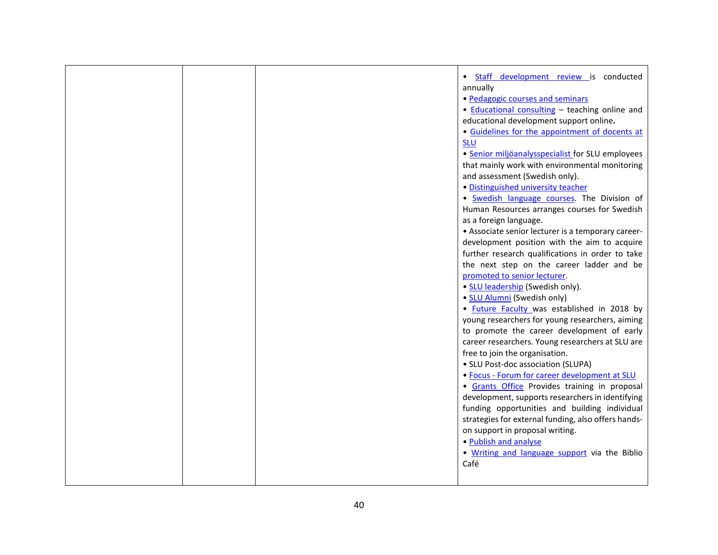|  | · Staff development review is conducted             |
|--|-----------------------------------------------------|
|  | annually                                            |
|  | • Pedagogic courses and seminars                    |
|  | • Educational consulting - teaching online and      |
|  | educational development support online.             |
|  | • Guidelines for the appointment of docents at      |
|  | <b>SLU</b>                                          |
|  | · Senior miljöanalysspecialist for SLU employees    |
|  | that mainly work with environmental monitoring      |
|  | and assessment (Swedish only).                      |
|  | · Distinguished university teacher                  |
|  | · Swedish language courses. The Division of         |
|  | Human Resources arranges courses for Swedish        |
|  | as a foreign language.                              |
|  | • Associate senior lecturer is a temporary career-  |
|  | development position with the aim to acquire        |
|  | further research qualifications in order to take    |
|  | the next step on the career ladder and be           |
|  | promoted to senior lecturer.                        |
|  | • SLU leadership (Swedish only).                    |
|  | • SLU Alumni (Swedish only)                         |
|  | . Future Faculty was established in 2018 by         |
|  | young researchers for young researchers, aiming     |
|  | to promote the career development of early          |
|  | career researchers. Young researchers at SLU are    |
|  | free to join the organisation.                      |
|  | • SLU Post-doc association (SLUPA)                  |
|  | · Focus - Forum for career development at SLU       |
|  | · Grants Office Provides training in proposal       |
|  | development, supports researchers in identifying    |
|  | funding opportunities and building individual       |
|  | strategies for external funding, also offers hands- |
|  | on support in proposal writing.                     |
|  | • Publish and analyse                               |
|  | . Writing and language support via the Biblio       |
|  | Café                                                |
|  |                                                     |
|  |                                                     |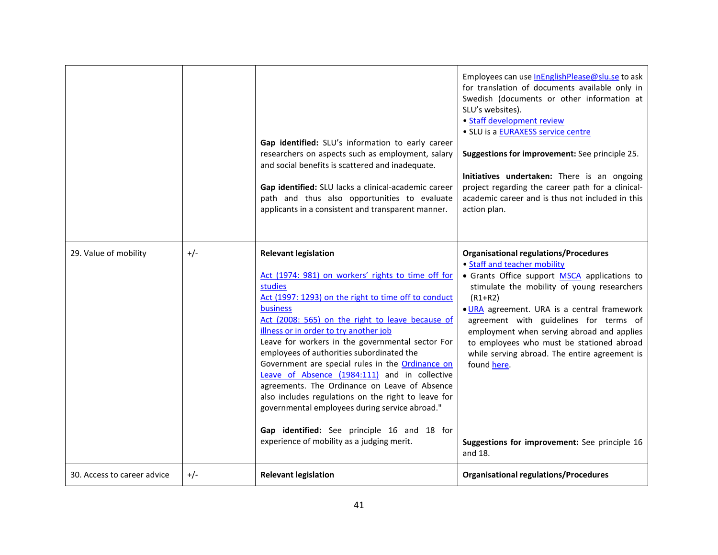|                             |       | Gap identified: SLU's information to early career<br>researchers on aspects such as employment, salary<br>and social benefits is scattered and inadequate.<br>Gap identified: SLU lacks a clinical-academic career<br>path and thus also opportunities to evaluate<br>applicants in a consistent and transparent manner.                                                                                                                                                                                                                                                                                                                                                                                                    | Employees can use InEnglishPlease@slu.se to ask<br>for translation of documents available only in<br>Swedish (documents or other information at<br>SLU's websites).<br>• Staff development review<br>· SLU is a <b>EURAXESS</b> service centre<br>Suggestions for improvement: See principle 25.<br>Initiatives undertaken: There is an ongoing<br>project regarding the career path for a clinical-<br>academic career and is thus not included in this<br>action plan.                                 |
|-----------------------------|-------|-----------------------------------------------------------------------------------------------------------------------------------------------------------------------------------------------------------------------------------------------------------------------------------------------------------------------------------------------------------------------------------------------------------------------------------------------------------------------------------------------------------------------------------------------------------------------------------------------------------------------------------------------------------------------------------------------------------------------------|----------------------------------------------------------------------------------------------------------------------------------------------------------------------------------------------------------------------------------------------------------------------------------------------------------------------------------------------------------------------------------------------------------------------------------------------------------------------------------------------------------|
| 29. Value of mobility       | $+/-$ | <b>Relevant legislation</b><br>Act (1974: 981) on workers' rights to time off for<br>studies<br>Act (1997: 1293) on the right to time off to conduct<br>business<br>Act (2008: 565) on the right to leave because of<br>illness or in order to try another job<br>Leave for workers in the governmental sector For<br>employees of authorities subordinated the<br>Government are special rules in the Ordinance on<br>Leave of Absence (1984:111) and in collective<br>agreements. The Ordinance on Leave of Absence<br>also includes regulations on the right to leave for<br>governmental employees during service abroad."<br>Gap identified: See principle 16 and 18 for<br>experience of mobility as a judging merit. | <b>Organisational regulations/Procedures</b><br>• Staff and teacher mobility<br>• Grants Office support MSCA applications to<br>stimulate the mobility of young researchers<br>$(R1+R2)$<br>. URA agreement. URA is a central framework<br>agreement with guidelines for terms of<br>employment when serving abroad and applies<br>to employees who must be stationed abroad<br>while serving abroad. The entire agreement is<br>found here.<br>Suggestions for improvement: See principle 16<br>and 18. |
| 30. Access to career advice | $+/-$ | <b>Relevant legislation</b>                                                                                                                                                                                                                                                                                                                                                                                                                                                                                                                                                                                                                                                                                                 | <b>Organisational regulations/Procedures</b>                                                                                                                                                                                                                                                                                                                                                                                                                                                             |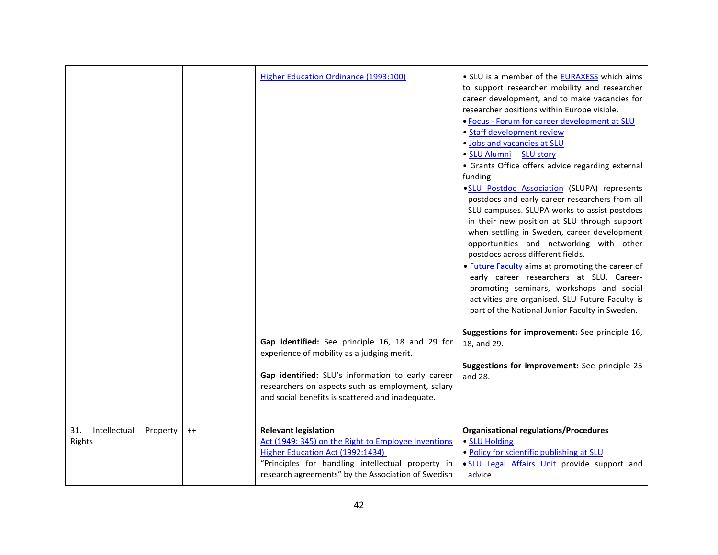|                                           |         | Higher Education Ordinance (1993:100)<br>Gap identified: See principle 16, 18 and 29 for<br>experience of mobility as a judging merit.<br>Gap identified: SLU's information to early career<br>researchers on aspects such as employment, salary<br>and social benefits is scattered and inadequate. | • SLU is a member of the EURAXESS which aims<br>to support researcher mobility and researcher<br>career development, and to make vacancies for<br>researcher positions within Europe visible.<br>. Focus - Forum for career development at SLU<br>• Staff development review<br>. Jobs and vacancies at SLU<br>· SLU Alumni SLU story<br>• Grants Office offers advice regarding external<br>funding<br>·SLU Postdoc Association (SLUPA) represents<br>postdocs and early career researchers from all<br>SLU campuses. SLUPA works to assist postdocs<br>in their new position at SLU through support<br>when settling in Sweden, career development<br>opportunities and networking with other<br>postdocs across different fields.<br>• Future Faculty aims at promoting the career of<br>early career researchers at SLU. Career-<br>promoting seminars, workshops and social<br>activities are organised. SLU Future Faculty is<br>part of the National Junior Faculty in Sweden.<br>Suggestions for improvement: See principle 16,<br>18, and 29.<br>Suggestions for improvement: See principle 25<br>and 28. |
|-------------------------------------------|---------|------------------------------------------------------------------------------------------------------------------------------------------------------------------------------------------------------------------------------------------------------------------------------------------------------|--------------------------------------------------------------------------------------------------------------------------------------------------------------------------------------------------------------------------------------------------------------------------------------------------------------------------------------------------------------------------------------------------------------------------------------------------------------------------------------------------------------------------------------------------------------------------------------------------------------------------------------------------------------------------------------------------------------------------------------------------------------------------------------------------------------------------------------------------------------------------------------------------------------------------------------------------------------------------------------------------------------------------------------------------------------------------------------------------------------------|
| Intellectual<br>31.<br>Property<br>Rights | $^{++}$ | <b>Relevant legislation</b><br>Act (1949: 345) on the Right to Employee Inventions<br>Higher Education Act (1992:1434)<br>"Principles for handling intellectual property in<br>research agreements" by the Association of Swedish                                                                    | <b>Organisational regulations/Procedures</b><br>· SLU Holding<br>. Policy for scientific publishing at SLU<br>. SLU Legal Affairs Unit provide support and<br>advice.                                                                                                                                                                                                                                                                                                                                                                                                                                                                                                                                                                                                                                                                                                                                                                                                                                                                                                                                              |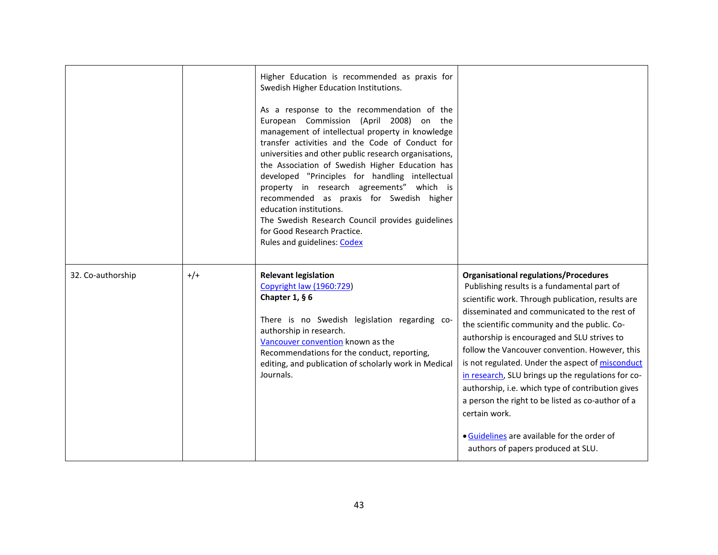|                   |       | Higher Education is recommended as praxis for<br>Swedish Higher Education Institutions.<br>As a response to the recommendation of the<br>European Commission (April 2008) on the<br>management of intellectual property in knowledge<br>transfer activities and the Code of Conduct for<br>universities and other public research organisations,<br>the Association of Swedish Higher Education has<br>developed "Principles for handling intellectual<br>property in research agreements" which is<br>recommended as praxis for Swedish higher<br>education institutions.<br>The Swedish Research Council provides guidelines<br>for Good Research Practice.<br>Rules and guidelines: Codex |                                                                                                                                                                                                                                                                                                                                                                                                                                                                                                                                                                                                                                                                             |
|-------------------|-------|----------------------------------------------------------------------------------------------------------------------------------------------------------------------------------------------------------------------------------------------------------------------------------------------------------------------------------------------------------------------------------------------------------------------------------------------------------------------------------------------------------------------------------------------------------------------------------------------------------------------------------------------------------------------------------------------|-----------------------------------------------------------------------------------------------------------------------------------------------------------------------------------------------------------------------------------------------------------------------------------------------------------------------------------------------------------------------------------------------------------------------------------------------------------------------------------------------------------------------------------------------------------------------------------------------------------------------------------------------------------------------------|
| 32. Co-authorship | $+/-$ | <b>Relevant legislation</b><br>Copyright law (1960:729)<br>Chapter 1, $§$ 6<br>There is no Swedish legislation regarding co-<br>authorship in research.<br>Vancouver convention known as the<br>Recommendations for the conduct, reporting,<br>editing, and publication of scholarly work in Medical<br>Journals.                                                                                                                                                                                                                                                                                                                                                                            | <b>Organisational regulations/Procedures</b><br>Publishing results is a fundamental part of<br>scientific work. Through publication, results are<br>disseminated and communicated to the rest of<br>the scientific community and the public. Co-<br>authorship is encouraged and SLU strives to<br>follow the Vancouver convention. However, this<br>is not regulated. Under the aspect of misconduct<br>in research, SLU brings up the regulations for co-<br>authorship, i.e. which type of contribution gives<br>a person the right to be listed as co-author of a<br>certain work.<br>• Guidelines are available for the order of<br>authors of papers produced at SLU. |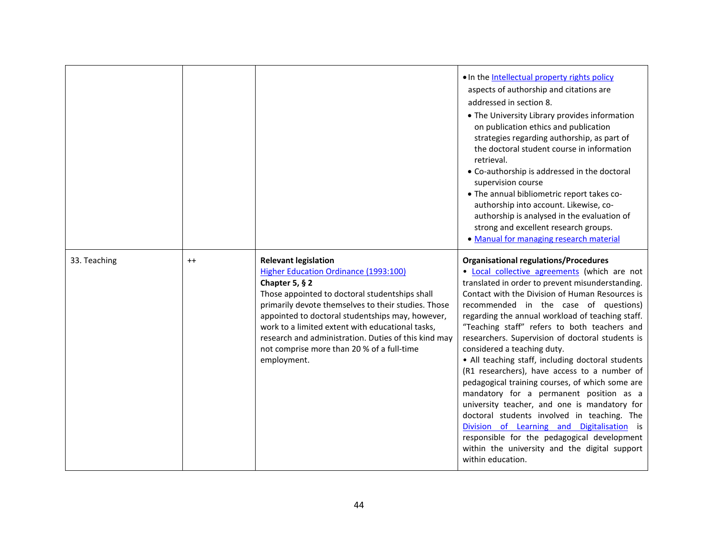|              |         |                                                                                                                                                                                                                                                                                                                                                                                                                                | . In the Intellectual property rights policy<br>aspects of authorship and citations are<br>addressed in section 8.<br>• The University Library provides information<br>on publication ethics and publication<br>strategies regarding authorship, as part of<br>the doctoral student course in information<br>retrieval.<br>• Co-authorship is addressed in the doctoral<br>supervision course<br>• The annual bibliometric report takes co-<br>authorship into account. Likewise, co-<br>authorship is analysed in the evaluation of<br>strong and excellent research groups.<br>• Manual for managing research material                                                                                                                                                                                                                                                                                 |
|--------------|---------|--------------------------------------------------------------------------------------------------------------------------------------------------------------------------------------------------------------------------------------------------------------------------------------------------------------------------------------------------------------------------------------------------------------------------------|----------------------------------------------------------------------------------------------------------------------------------------------------------------------------------------------------------------------------------------------------------------------------------------------------------------------------------------------------------------------------------------------------------------------------------------------------------------------------------------------------------------------------------------------------------------------------------------------------------------------------------------------------------------------------------------------------------------------------------------------------------------------------------------------------------------------------------------------------------------------------------------------------------|
| 33. Teaching | $^{++}$ | <b>Relevant legislation</b><br>Higher Education Ordinance (1993:100)<br>Chapter 5, $§$ 2<br>Those appointed to doctoral studentships shall<br>primarily devote themselves to their studies. Those<br>appointed to doctoral studentships may, however,<br>work to a limited extent with educational tasks,<br>research and administration. Duties of this kind may<br>not comprise more than 20 % of a full-time<br>employment. | <b>Organisational regulations/Procedures</b><br>. Local collective agreements (which are not<br>translated in order to prevent misunderstanding.<br>Contact with the Division of Human Resources is<br>recommended in the case of questions)<br>regarding the annual workload of teaching staff.<br>"Teaching staff" refers to both teachers and<br>researchers. Supervision of doctoral students is<br>considered a teaching duty.<br>• All teaching staff, including doctoral students<br>(R1 researchers), have access to a number of<br>pedagogical training courses, of which some are<br>mandatory for a permanent position as a<br>university teacher, and one is mandatory for<br>doctoral students involved in teaching. The<br>Division of Learning and Digitalisation is<br>responsible for the pedagogical development<br>within the university and the digital support<br>within education. |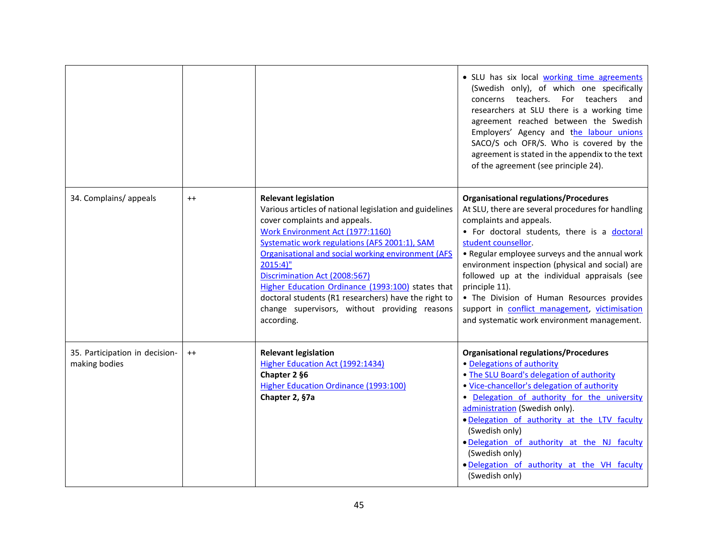|                                                 |         |                                                                                                                                                                                                                                                                                                                                                                                                                                                                                               | . SLU has six local working time agreements<br>(Swedish only), of which one specifically<br>concerns teachers.<br>For teachers<br>and<br>researchers at SLU there is a working time<br>agreement reached between the Swedish<br>Employers' Agency and the labour unions<br>SACO/S och OFR/S. Who is covered by the<br>agreement is stated in the appendix to the text<br>of the agreement (see principle 24).                                                                                                              |
|-------------------------------------------------|---------|-----------------------------------------------------------------------------------------------------------------------------------------------------------------------------------------------------------------------------------------------------------------------------------------------------------------------------------------------------------------------------------------------------------------------------------------------------------------------------------------------|----------------------------------------------------------------------------------------------------------------------------------------------------------------------------------------------------------------------------------------------------------------------------------------------------------------------------------------------------------------------------------------------------------------------------------------------------------------------------------------------------------------------------|
| 34. Complains/appeals                           | $^{++}$ | <b>Relevant legislation</b><br>Various articles of national legislation and guidelines<br>cover complaints and appeals.<br>Work Environment Act (1977:1160)<br>Systematic work regulations (AFS 2001:1), SAM<br>Organisational and social working environment (AFS<br>$2015:4$ "<br>Discrimination Act (2008:567)<br>Higher Education Ordinance (1993:100) states that<br>doctoral students (R1 researchers) have the right to<br>change supervisors, without providing reasons<br>according. | <b>Organisational regulations/Procedures</b><br>At SLU, there are several procedures for handling<br>complaints and appeals.<br>. For doctoral students, there is a doctoral<br>student counsellor.<br>• Regular employee surveys and the annual work<br>environment inspection (physical and social) are<br>followed up at the individual appraisals (see<br>principle 11).<br>• The Division of Human Resources provides<br>support in conflict management, victimisation<br>and systematic work environment management. |
| 35. Participation in decision-<br>making bodies | $^{++}$ | <b>Relevant legislation</b><br>Higher Education Act (1992:1434)<br>Chapter 2 §6<br>Higher Education Ordinance (1993:100)<br>Chapter 2, §7a                                                                                                                                                                                                                                                                                                                                                    | <b>Organisational regulations/Procedures</b><br>• Delegations of authority<br>. The SLU Board's delegation of authority<br>. Vice-chancellor's delegation of authority<br>. Delegation of authority for the university<br>administration (Swedish only).<br>. Delegation of authority at the LTV faculty<br>(Swedish only)<br>. Delegation of authority at the NJ faculty<br>(Swedish only)<br>. Delegation of authority at the VH faculty<br>(Swedish only)                                                               |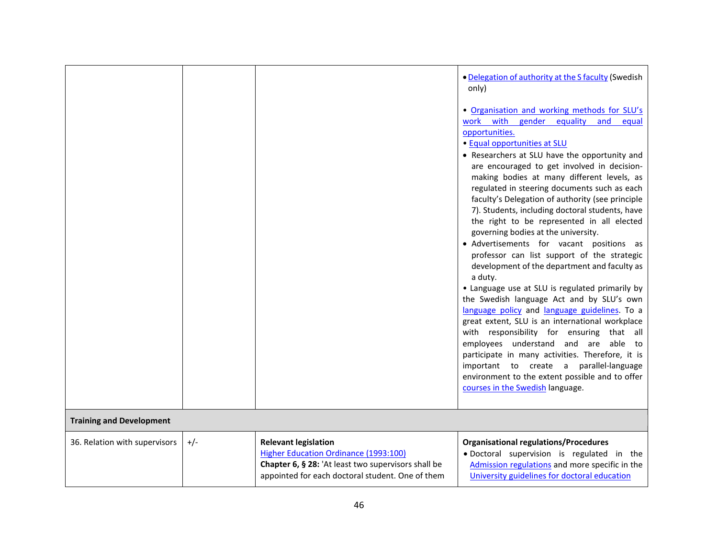|                                 |       |                                                                                                                                                                                 | . Delegation of authority at the S faculty (Swedish<br>only)                                                                                                                                                                                                                                                                                                                                                                                                                                                                                                                                                                                                                                                                                                                                                                                                                                                                                                                                                                                                |
|---------------------------------|-------|---------------------------------------------------------------------------------------------------------------------------------------------------------------------------------|-------------------------------------------------------------------------------------------------------------------------------------------------------------------------------------------------------------------------------------------------------------------------------------------------------------------------------------------------------------------------------------------------------------------------------------------------------------------------------------------------------------------------------------------------------------------------------------------------------------------------------------------------------------------------------------------------------------------------------------------------------------------------------------------------------------------------------------------------------------------------------------------------------------------------------------------------------------------------------------------------------------------------------------------------------------|
|                                 |       |                                                                                                                                                                                 | . Organisation and working methods for SLU's<br>work with gender equality<br>and<br>equal<br>opportunities.                                                                                                                                                                                                                                                                                                                                                                                                                                                                                                                                                                                                                                                                                                                                                                                                                                                                                                                                                 |
|                                 |       |                                                                                                                                                                                 | • Equal opportunities at SLU<br>• Researchers at SLU have the opportunity and<br>are encouraged to get involved in decision-<br>making bodies at many different levels, as<br>regulated in steering documents such as each<br>faculty's Delegation of authority (see principle<br>7). Students, including doctoral students, have<br>the right to be represented in all elected<br>governing bodies at the university.<br>• Advertisements for vacant positions as<br>professor can list support of the strategic<br>development of the department and faculty as<br>a duty.<br>• Language use at SLU is regulated primarily by<br>the Swedish language Act and by SLU's own<br>language policy and language guidelines. To a<br>great extent, SLU is an international workplace<br>with responsibility for ensuring that all<br>employees understand and are able to<br>participate in many activities. Therefore, it is<br>important to create a parallel-language<br>environment to the extent possible and to offer<br>courses in the Swedish language. |
| <b>Training and Development</b> |       |                                                                                                                                                                                 |                                                                                                                                                                                                                                                                                                                                                                                                                                                                                                                                                                                                                                                                                                                                                                                                                                                                                                                                                                                                                                                             |
| 36. Relation with supervisors   | $+/-$ | <b>Relevant legislation</b><br>Higher Education Ordinance (1993:100)<br>Chapter 6, § 28: 'At least two supervisors shall be<br>appointed for each doctoral student. One of them | <b>Organisational regulations/Procedures</b><br>· Doctoral supervision is regulated in the<br>Admission regulations and more specific in the<br>University guidelines for doctoral education                                                                                                                                                                                                                                                                                                                                                                                                                                                                                                                                                                                                                                                                                                                                                                                                                                                                |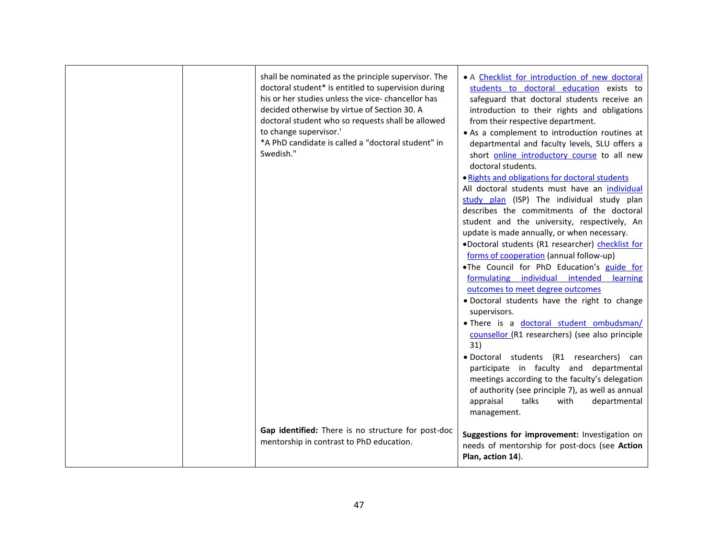| shall be nominated as the principle supervisor. The<br>doctoral student* is entitled to supervision during<br>his or her studies unless the vice-chancellor has<br>decided otherwise by virtue of Section 30. A<br>doctoral student who so requests shall be allowed<br>to change supervisor.'<br>*A PhD candidate is called a "doctoral student" in<br>Swedish." | • A Checklist for introduction of new doctoral<br>students to doctoral education exists to<br>safeguard that doctoral students receive an<br>introduction to their rights and obligations<br>from their respective department.<br>• As a complement to introduction routines at<br>departmental and faculty levels, SLU offers a<br>short online introductory course to all new<br>doctoral students.<br>. Rights and obligations for doctoral students<br>All doctoral students must have an individual<br>study plan (ISP) The individual study plan<br>describes the commitments of the doctoral<br>student and the university, respectively, An<br>update is made annually, or when necessary.<br>.Doctoral students (R1 researcher) checklist for<br>forms of cooperation (annual follow-up)<br>.The Council for PhD Education's guide for<br>formulating individual intended learning<br>outcomes to meet degree outcomes<br>· Doctoral students have the right to change<br>supervisors.<br>. There is a doctoral student ombudsman/<br>counsellor (R1 researchers) (see also principle<br>31)<br>· Doctoral students (R1 researchers) can<br>participate in faculty and departmental<br>meetings according to the faculty's delegation<br>of authority (see principle 7), as well as annual<br>appraisal<br>talks<br>with<br>departmental<br>management. |
|-------------------------------------------------------------------------------------------------------------------------------------------------------------------------------------------------------------------------------------------------------------------------------------------------------------------------------------------------------------------|------------------------------------------------------------------------------------------------------------------------------------------------------------------------------------------------------------------------------------------------------------------------------------------------------------------------------------------------------------------------------------------------------------------------------------------------------------------------------------------------------------------------------------------------------------------------------------------------------------------------------------------------------------------------------------------------------------------------------------------------------------------------------------------------------------------------------------------------------------------------------------------------------------------------------------------------------------------------------------------------------------------------------------------------------------------------------------------------------------------------------------------------------------------------------------------------------------------------------------------------------------------------------------------------------------------------------------------------------------------|
| Gap identified: There is no structure for post-doc<br>mentorship in contrast to PhD education.                                                                                                                                                                                                                                                                    | Suggestions for improvement: Investigation on<br>needs of mentorship for post-docs (see Action<br>Plan, action 14).                                                                                                                                                                                                                                                                                                                                                                                                                                                                                                                                                                                                                                                                                                                                                                                                                                                                                                                                                                                                                                                                                                                                                                                                                                              |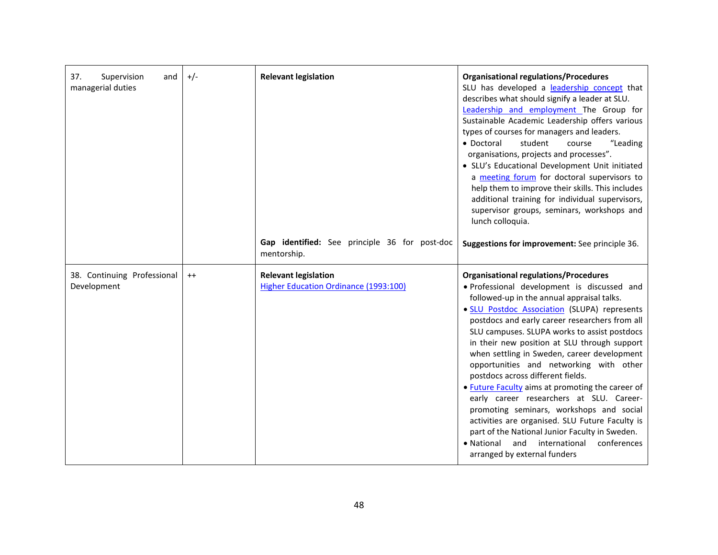| 37.<br>Supervision<br>and<br>managerial duties | $+/-$   | <b>Relevant legislation</b><br>Gap identified: See principle 36 for post-doc<br>mentorship. | <b>Organisational regulations/Procedures</b><br>SLU has developed a leadership concept that<br>describes what should signify a leader at SLU.<br>Leadership and employment The Group for<br>Sustainable Academic Leadership offers various<br>types of courses for managers and leaders.<br>student<br>• Doctoral<br>"Leading<br>course<br>organisations, projects and processes".<br>• SLU's Educational Development Unit initiated<br>a meeting forum for doctoral supervisors to<br>help them to improve their skills. This includes<br>additional training for individual supervisors,<br>supervisor groups, seminars, workshops and<br>lunch colloquia.<br>Suggestions for improvement: See principle 36.                                                                                             |
|------------------------------------------------|---------|---------------------------------------------------------------------------------------------|------------------------------------------------------------------------------------------------------------------------------------------------------------------------------------------------------------------------------------------------------------------------------------------------------------------------------------------------------------------------------------------------------------------------------------------------------------------------------------------------------------------------------------------------------------------------------------------------------------------------------------------------------------------------------------------------------------------------------------------------------------------------------------------------------------|
| 38. Continuing Professional<br>Development     | $^{++}$ | <b>Relevant legislation</b><br>Higher Education Ordinance (1993:100)                        | <b>Organisational regulations/Procedures</b><br>· Professional development is discussed and<br>followed-up in the annual appraisal talks.<br>· SLU Postdoc Association (SLUPA) represents<br>postdocs and early career researchers from all<br>SLU campuses. SLUPA works to assist postdocs<br>in their new position at SLU through support<br>when settling in Sweden, career development<br>opportunities and networking with other<br>postdocs across different fields.<br>• Future Faculty aims at promoting the career of<br>early career researchers at SLU. Career-<br>promoting seminars, workshops and social<br>activities are organised. SLU Future Faculty is<br>part of the National Junior Faculty in Sweden.<br>· National and international<br>conferences<br>arranged by external funders |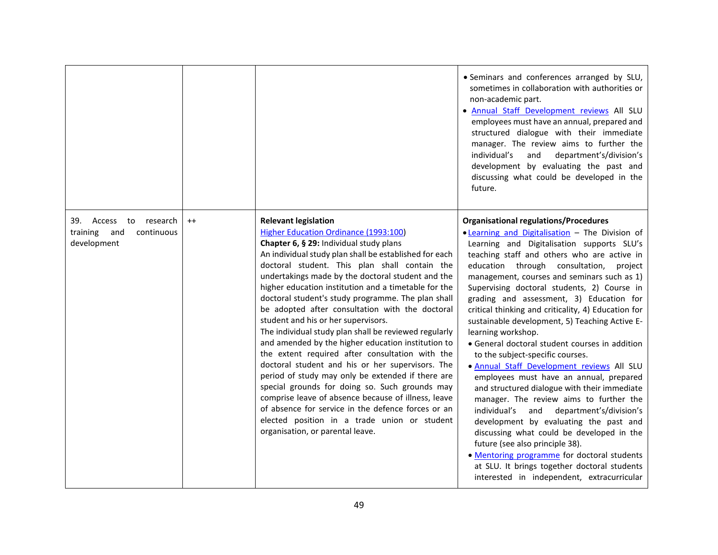|                                                                        |         |                                                                                                                                                                                                                                                                                                                                                                                                                                                                                                                                                                                                                                                                                                                                                                                                                                                                                                                                                                                                                              | · Seminars and conferences arranged by SLU,<br>sometimes in collaboration with authorities or<br>non-academic part.<br>. Annual Staff Development reviews All SLU<br>employees must have an annual, prepared and<br>structured dialogue with their immediate<br>manager. The review aims to further the<br>individual's<br>department's/division's<br>and<br>development by evaluating the past and<br>discussing what could be developed in the<br>future.                                                                                                                                                                                                                                                                                                                                                                                                                                                                                                                                                                                                                                                      |
|------------------------------------------------------------------------|---------|------------------------------------------------------------------------------------------------------------------------------------------------------------------------------------------------------------------------------------------------------------------------------------------------------------------------------------------------------------------------------------------------------------------------------------------------------------------------------------------------------------------------------------------------------------------------------------------------------------------------------------------------------------------------------------------------------------------------------------------------------------------------------------------------------------------------------------------------------------------------------------------------------------------------------------------------------------------------------------------------------------------------------|------------------------------------------------------------------------------------------------------------------------------------------------------------------------------------------------------------------------------------------------------------------------------------------------------------------------------------------------------------------------------------------------------------------------------------------------------------------------------------------------------------------------------------------------------------------------------------------------------------------------------------------------------------------------------------------------------------------------------------------------------------------------------------------------------------------------------------------------------------------------------------------------------------------------------------------------------------------------------------------------------------------------------------------------------------------------------------------------------------------|
| 39. Access to<br>research<br>training and<br>continuous<br>development | $^{++}$ | <b>Relevant legislation</b><br><b>Higher Education Ordinance (1993:100)</b><br>Chapter 6, § 29: Individual study plans<br>An individual study plan shall be established for each<br>doctoral student. This plan shall contain the<br>undertakings made by the doctoral student and the<br>higher education institution and a timetable for the<br>doctoral student's study programme. The plan shall<br>be adopted after consultation with the doctoral<br>student and his or her supervisors.<br>The individual study plan shall be reviewed regularly<br>and amended by the higher education institution to<br>the extent required after consultation with the<br>doctoral student and his or her supervisors. The<br>period of study may only be extended if there are<br>special grounds for doing so. Such grounds may<br>comprise leave of absence because of illness, leave<br>of absence for service in the defence forces or an<br>elected position in a trade union or student<br>organisation, or parental leave. | <b>Organisational regulations/Procedures</b><br>. Learning and Digitalisation - The Division of<br>Learning and Digitalisation supports SLU's<br>teaching staff and others who are active in<br>education through consultation,<br>project<br>management, courses and seminars such as 1)<br>Supervising doctoral students, 2) Course in<br>grading and assessment, 3) Education for<br>critical thinking and criticality, 4) Education for<br>sustainable development, 5) Teaching Active E-<br>learning workshop.<br>• General doctoral student courses in addition<br>to the subject-specific courses.<br>. Annual Staff Development reviews All SLU<br>employees must have an annual, prepared<br>and structured dialogue with their immediate<br>manager. The review aims to further the<br>individual's and department's/division's<br>development by evaluating the past and<br>discussing what could be developed in the<br>future (see also principle 38).<br>. Mentoring programme for doctoral students<br>at SLU. It brings together doctoral students<br>interested in independent, extracurricular |